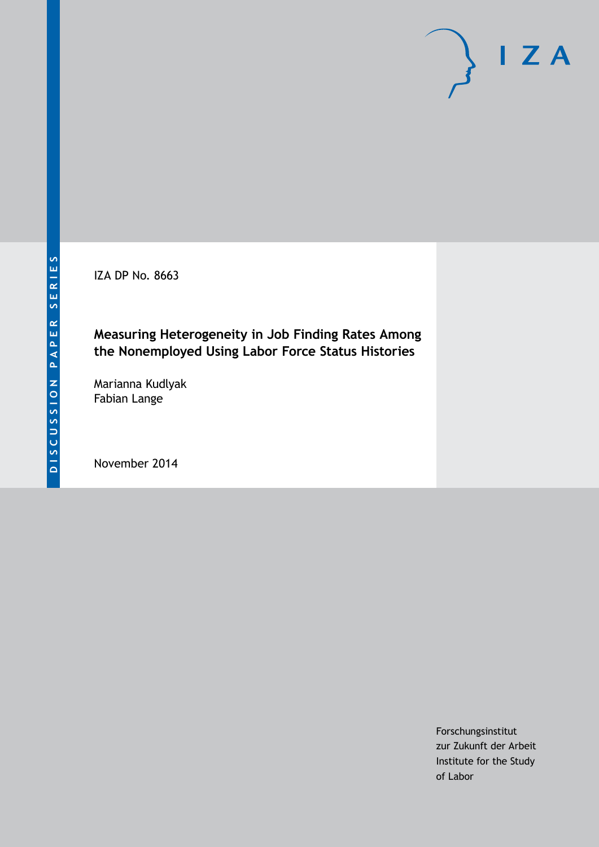IZA DP No. 8663

# **Measuring Heterogeneity in Job Finding Rates Among the Nonemployed Using Labor Force Status Histories**

Marianna Kudlyak Fabian Lange

November 2014

Forschungsinstitut zur Zukunft der Arbeit Institute for the Study of Labor

 $I Z A$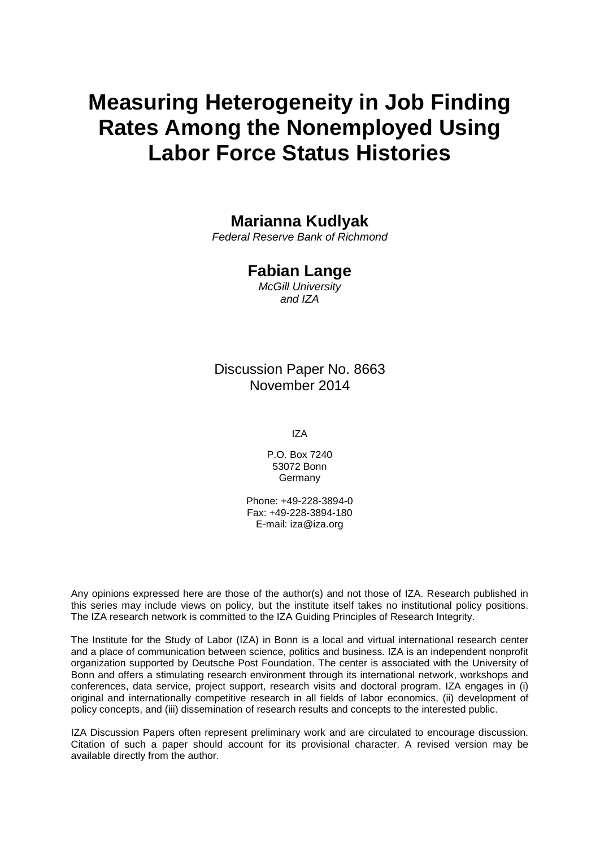# **Measuring Heterogeneity in Job Finding Rates Among the Nonemployed Using Labor Force Status Histories**

# **Marianna Kudlyak**

*Federal Reserve Bank of Richmond*

### **Fabian Lange**

*McGill University and IZA*

## Discussion Paper No. 8663 November 2014

IZA

P.O. Box 7240 53072 Bonn **Germany** 

Phone: +49-228-3894-0 Fax: +49-228-3894-180 E-mail: [iza@iza.org](mailto:iza@iza.org)

Any opinions expressed here are those of the author(s) and not those of IZA. Research published in this series may include views on policy, but the institute itself takes no institutional policy positions. The IZA research network is committed to the IZA Guiding Principles of Research Integrity.

The Institute for the Study of Labor (IZA) in Bonn is a local and virtual international research center and a place of communication between science, politics and business. IZA is an independent nonprofit organization supported by Deutsche Post Foundation. The center is associated with the University of Bonn and offers a stimulating research environment through its international network, workshops and conferences, data service, project support, research visits and doctoral program. IZA engages in (i) original and internationally competitive research in all fields of labor economics, (ii) development of policy concepts, and (iii) dissemination of research results and concepts to the interested public.

<span id="page-1-0"></span>IZA Discussion Papers often represent preliminary work and are circulated to encourage discussion. Citation of such a paper should account for its provisional character. A revised version may be available directly from the author.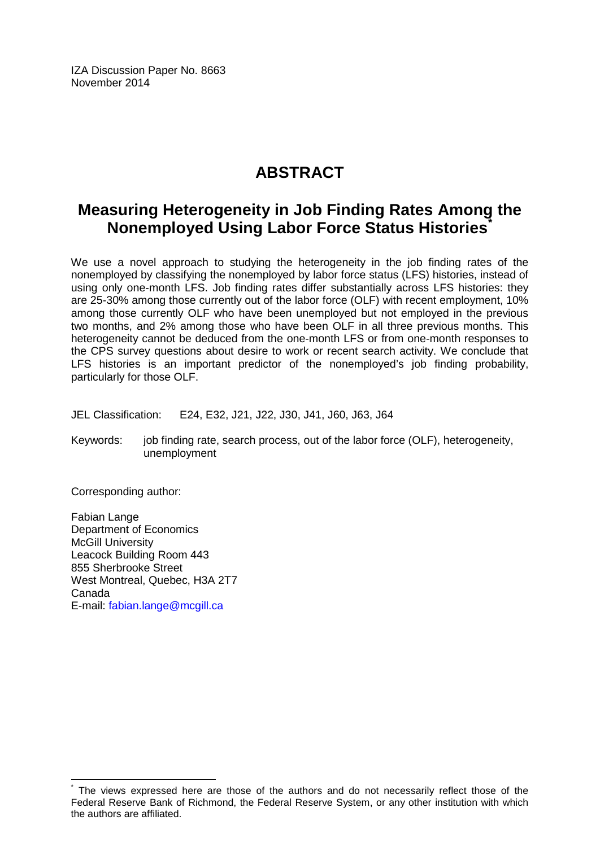IZA Discussion Paper No. 8663 November 2014

# **ABSTRACT**

# **Measuring Heterogeneity in Job Finding Rates Among the Nonemployed Using Labor Force Status Histories[\\*](#page-1-0)**

We use a novel approach to studying the heterogeneity in the job finding rates of the nonemployed by classifying the nonemployed by labor force status (LFS) histories, instead of using only one-month LFS. Job finding rates differ substantially across LFS histories: they are 25-30% among those currently out of the labor force (OLF) with recent employment, 10% among those currently OLF who have been unemployed but not employed in the previous two months, and 2% among those who have been OLF in all three previous months. This heterogeneity cannot be deduced from the one-month LFS or from one-month responses to the CPS survey questions about desire to work or recent search activity. We conclude that LFS histories is an important predictor of the nonemployed's job finding probability, particularly for those OLF.

JEL Classification: E24, E32, J21, J22, J30, J41, J60, J63, J64

Keywords: job finding rate, search process, out of the labor force (OLF), heterogeneity, unemployment

Corresponding author:

Fabian Lange Department of Economics McGill University Leacock Building Room 443 855 Sherbrooke Street West Montreal, Quebec, H3A 2T7 Canada E-mail: [fabian.lange@mcgill.ca](mailto:fabian.lange@mcgill.ca)

The views expressed here are those of the authors and do not necessarily reflect those of the Federal Reserve Bank of Richmond, the Federal Reserve System, or any other institution with which the authors are affiliated.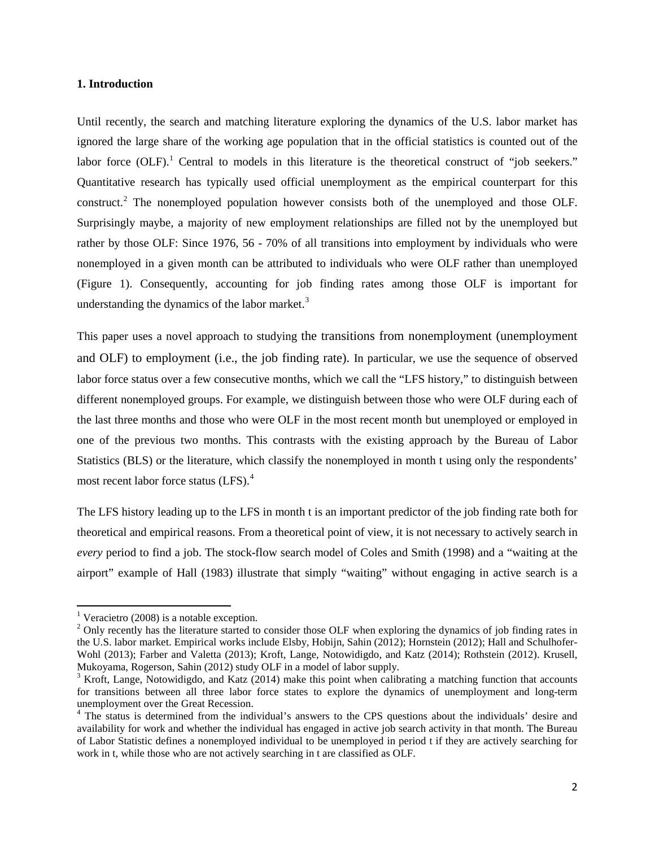#### **1. Introduction**

Until recently, the search and matching literature exploring the dynamics of the U.S. labor market has ignored the large share of the working age population that in the official statistics is counted out of the labor force  $(OLF)$ . Central to models in this literature is the theoretical construct of "job seekers." Quantitative research has typically used official unemployment as the empirical counterpart for this construct.<sup>[2](#page-3-1)</sup> The nonemployed population however consists both of the unemployed and those OLF. Surprisingly maybe, a majority of new employment relationships are filled not by the unemployed but rather by those OLF: Since 1976, 56 - 70% of all transitions into employment by individuals who were nonemployed in a given month can be attributed to individuals who were OLF rather than unemployed (Figure 1). Consequently, accounting for job finding rates among those OLF is important for understanding the dynamics of the labor market.<sup>[3](#page-3-2)</sup>

This paper uses a novel approach to studying the transitions from nonemployment (unemployment and OLF) to employment (i.e., the job finding rate). In particular, we use the sequence of observed labor force status over a few consecutive months, which we call the "LFS history," to distinguish between different nonemployed groups. For example, we distinguish between those who were OLF during each of the last three months and those who were OLF in the most recent month but unemployed or employed in one of the previous two months. This contrasts with the existing approach by the Bureau of Labor Statistics (BLS) or the literature, which classify the nonemployed in month t using only the respondents' most recent labor force status (LFS).<sup>[4](#page-3-3)</sup>

The LFS history leading up to the LFS in month t is an important predictor of the job finding rate both for theoretical and empirical reasons. From a theoretical point of view, it is not necessary to actively search in *every* period to find a job. The stock-flow search model of Coles and Smith (1998) and a "waiting at the airport" example of Hall (1983) illustrate that simply "waiting" without engaging in active search is a

l

<span id="page-3-0"></span><sup>&</sup>lt;sup>1</sup> Veracietro (2008) is a notable exception.

<span id="page-3-1"></span><sup>&</sup>lt;sup>2</sup> Only recently has the literature started to consider those OLF when exploring the dynamics of job finding rates in the U.S. labor market. Empirical works include Elsby, Hobijn, Sahin (2012); Hornstein (2012); Hall and Schulhofer-Wohl (2013); Farber and Valetta (2013); Kroft, Lange, Notowidigdo, and Katz (2014); Rothstein (2012). Krusell, Mukoyama, Rogerson, Sahin (2012) study OLF in a model of labor supply.

<span id="page-3-2"></span> $3$  Kroft, Lange, Notowidigdo, and Katz (2014) make this point when calibrating a matching function that accounts for transitions between all three labor force states to explore the dynamics of unemployment and long-term unemployment over the Great Recession.

<span id="page-3-3"></span><sup>&</sup>lt;sup>4</sup> The status is determined from the individual's answers to the CPS questions about the individuals' desire and availability for work and whether the individual has engaged in active job search activity in that month. The Bureau of Labor Statistic defines a nonemployed individual to be unemployed in period t if they are actively searching for work in t, while those who are not actively searching in t are classified as OLF.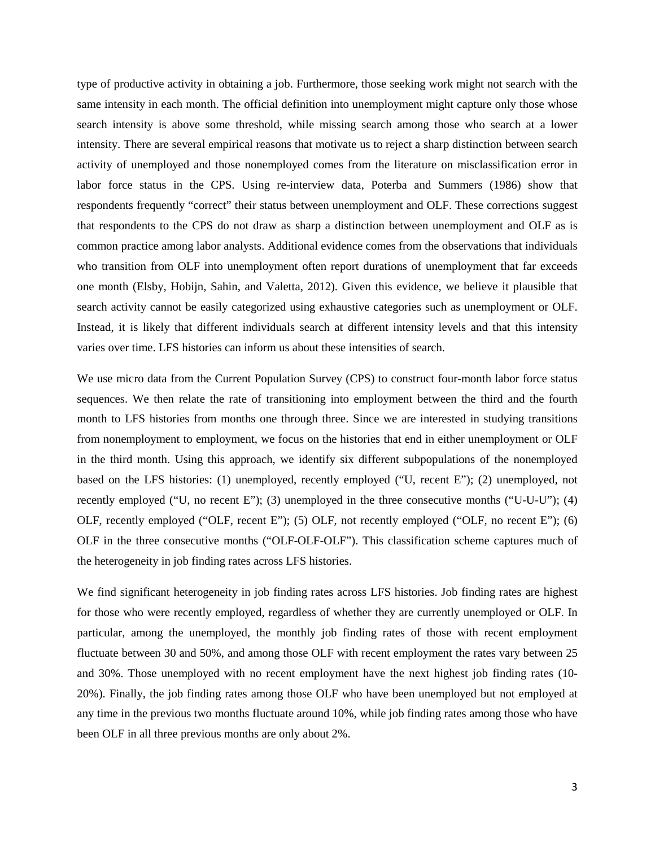type of productive activity in obtaining a job. Furthermore, those seeking work might not search with the same intensity in each month. The official definition into unemployment might capture only those whose search intensity is above some threshold, while missing search among those who search at a lower intensity. There are several empirical reasons that motivate us to reject a sharp distinction between search activity of unemployed and those nonemployed comes from the literature on misclassification error in labor force status in the CPS. Using re-interview data, Poterba and Summers (1986) show that respondents frequently "correct" their status between unemployment and OLF. These corrections suggest that respondents to the CPS do not draw as sharp a distinction between unemployment and OLF as is common practice among labor analysts. Additional evidence comes from the observations that individuals who transition from OLF into unemployment often report durations of unemployment that far exceeds one month (Elsby, Hobijn, Sahin, and Valetta, 2012). Given this evidence, we believe it plausible that search activity cannot be easily categorized using exhaustive categories such as unemployment or OLF. Instead, it is likely that different individuals search at different intensity levels and that this intensity varies over time. LFS histories can inform us about these intensities of search.

We use micro data from the Current Population Survey (CPS) to construct four-month labor force status sequences. We then relate the rate of transitioning into employment between the third and the fourth month to LFS histories from months one through three. Since we are interested in studying transitions from nonemployment to employment, we focus on the histories that end in either unemployment or OLF in the third month. Using this approach, we identify six different subpopulations of the nonemployed based on the LFS histories: (1) unemployed, recently employed ("U, recent E"); (2) unemployed, not recently employed ("U, no recent E"); (3) unemployed in the three consecutive months ("U-U-U"); (4) OLF, recently employed ("OLF, recent E"); (5) OLF, not recently employed ("OLF, no recent E"); (6) OLF in the three consecutive months ("OLF-OLF-OLF"). This classification scheme captures much of the heterogeneity in job finding rates across LFS histories.

We find significant heterogeneity in job finding rates across LFS histories. Job finding rates are highest for those who were recently employed, regardless of whether they are currently unemployed or OLF. In particular, among the unemployed, the monthly job finding rates of those with recent employment fluctuate between 30 and 50%, and among those OLF with recent employment the rates vary between 25 and 30%. Those unemployed with no recent employment have the next highest job finding rates (10- 20%). Finally, the job finding rates among those OLF who have been unemployed but not employed at any time in the previous two months fluctuate around 10%, while job finding rates among those who have been OLF in all three previous months are only about 2%.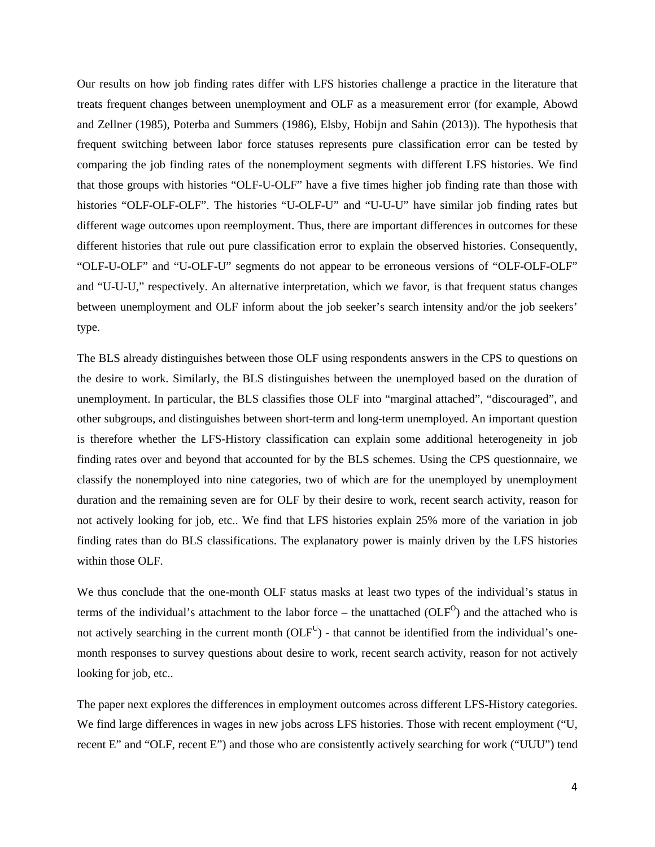Our results on how job finding rates differ with LFS histories challenge a practice in the literature that treats frequent changes between unemployment and OLF as a measurement error (for example, Abowd and Zellner (1985), Poterba and Summers (1986), Elsby, Hobijn and Sahin (2013)). The hypothesis that frequent switching between labor force statuses represents pure classification error can be tested by comparing the job finding rates of the nonemployment segments with different LFS histories. We find that those groups with histories "OLF-U-OLF" have a five times higher job finding rate than those with histories "OLF-OLF-OLF". The histories "U-OLF-U" and "U-U-U" have similar job finding rates but different wage outcomes upon reemployment. Thus, there are important differences in outcomes for these different histories that rule out pure classification error to explain the observed histories. Consequently, "OLF-U-OLF" and "U-OLF-U" segments do not appear to be erroneous versions of "OLF-OLF-OLF" and "U-U-U," respectively. An alternative interpretation, which we favor, is that frequent status changes between unemployment and OLF inform about the job seeker's search intensity and/or the job seekers' type.

The BLS already distinguishes between those OLF using respondents answers in the CPS to questions on the desire to work. Similarly, the BLS distinguishes between the unemployed based on the duration of unemployment. In particular, the BLS classifies those OLF into "marginal attached", "discouraged", and other subgroups, and distinguishes between short-term and long-term unemployed. An important question is therefore whether the LFS-History classification can explain some additional heterogeneity in job finding rates over and beyond that accounted for by the BLS schemes. Using the CPS questionnaire, we classify the nonemployed into nine categories, two of which are for the unemployed by unemployment duration and the remaining seven are for OLF by their desire to work, recent search activity, reason for not actively looking for job, etc.. We find that LFS histories explain 25% more of the variation in job finding rates than do BLS classifications. The explanatory power is mainly driven by the LFS histories within those OLF.

We thus conclude that the one-month OLF status masks at least two types of the individual's status in terms of the individual's attachment to the labor force – the unattached  $(OLF<sup>O</sup>)$  and the attached who is not actively searching in the current month  $(OLF^U)$  - that cannot be identified from the individual's onemonth responses to survey questions about desire to work, recent search activity, reason for not actively looking for job, etc..

The paper next explores the differences in employment outcomes across different LFS-History categories. We find large differences in wages in new jobs across LFS histories. Those with recent employment ("U, recent E" and "OLF, recent E") and those who are consistently actively searching for work ("UUU") tend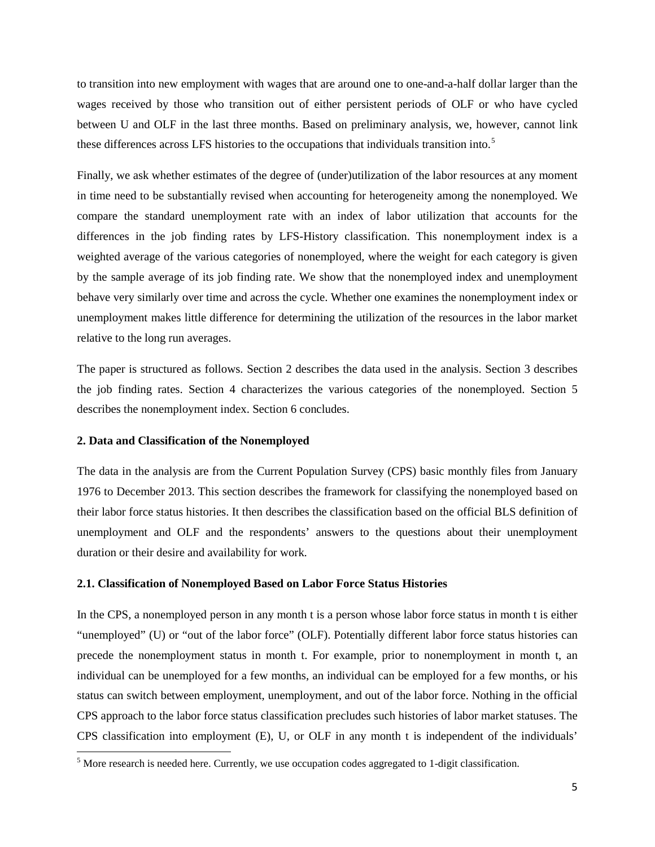to transition into new employment with wages that are around one to one-and-a-half dollar larger than the wages received by those who transition out of either persistent periods of OLF or who have cycled between U and OLF in the last three months. Based on preliminary analysis, we, however, cannot link these differences across LFS histories to the occupations that individuals transition into.<sup>[5](#page-6-0)</sup>

Finally, we ask whether estimates of the degree of (under)utilization of the labor resources at any moment in time need to be substantially revised when accounting for heterogeneity among the nonemployed. We compare the standard unemployment rate with an index of labor utilization that accounts for the differences in the job finding rates by LFS-History classification. This nonemployment index is a weighted average of the various categories of nonemployed, where the weight for each category is given by the sample average of its job finding rate. We show that the nonemployed index and unemployment behave very similarly over time and across the cycle. Whether one examines the nonemployment index or unemployment makes little difference for determining the utilization of the resources in the labor market relative to the long run averages.

The paper is structured as follows. Section 2 describes the data used in the analysis. Section 3 describes the job finding rates. Section 4 characterizes the various categories of the nonemployed. Section 5 describes the nonemployment index. Section 6 concludes.

#### **2. Data and Classification of the Nonemployed**

l

The data in the analysis are from the Current Population Survey (CPS) basic monthly files from January 1976 to December 2013. This section describes the framework for classifying the nonemployed based on their labor force status histories. It then describes the classification based on the official BLS definition of unemployment and OLF and the respondents' answers to the questions about their unemployment duration or their desire and availability for work.

#### **2.1. Classification of Nonemployed Based on Labor Force Status Histories**

In the CPS, a nonemployed person in any month t is a person whose labor force status in month t is either "unemployed" (U) or "out of the labor force" (OLF). Potentially different labor force status histories can precede the nonemployment status in month t. For example, prior to nonemployment in month t, an individual can be unemployed for a few months, an individual can be employed for a few months, or his status can switch between employment, unemployment, and out of the labor force. Nothing in the official CPS approach to the labor force status classification precludes such histories of labor market statuses. The CPS classification into employment (E), U, or OLF in any month t is independent of the individuals'

<span id="page-6-0"></span><sup>5</sup> More research is needed here. Currently, we use occupation codes aggregated to 1-digit classification.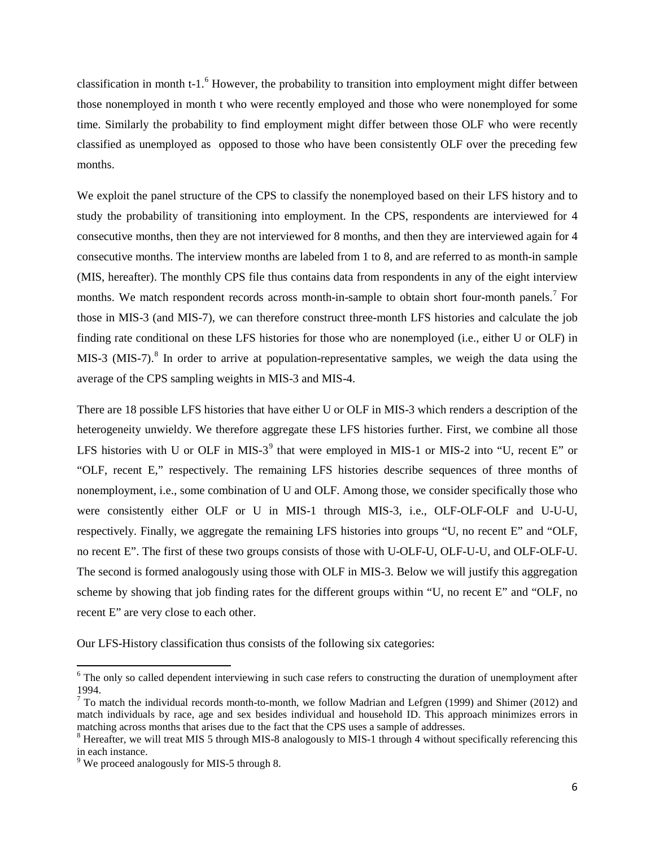classification in month t-1. $\textsuperscript{6}$  $\textsuperscript{6}$  $\textsuperscript{6}$  However, the probability to transition into employment might differ between those nonemployed in month t who were recently employed and those who were nonemployed for some time. Similarly the probability to find employment might differ between those OLF who were recently classified as unemployed as opposed to those who have been consistently OLF over the preceding few months.

We exploit the panel structure of the CPS to classify the nonemployed based on their LFS history and to study the probability of transitioning into employment. In the CPS, respondents are interviewed for 4 consecutive months, then they are not interviewed for 8 months, and then they are interviewed again for 4 consecutive months. The interview months are labeled from 1 to 8, and are referred to as month-in sample (MIS, hereafter). The monthly CPS file thus contains data from respondents in any of the eight interview months. We match respondent records across month-in-sample to obtain short four-month panels.<sup>[7](#page-7-1)</sup> For those in MIS-3 (and MIS-7), we can therefore construct three-month LFS histories and calculate the job finding rate conditional on these LFS histories for those who are nonemployed (i.e., either U or OLF) in MIS-3 (MIS-7). $8$  In order to arrive at population-representative samples, we weigh the data using the average of the CPS sampling weights in MIS-3 and MIS-4.

There are 18 possible LFS histories that have either U or OLF in MIS-3 which renders a description of the heterogeneity unwieldy. We therefore aggregate these LFS histories further. First, we combine all those LFS histories with U or OLF in MIS-3<sup>[9](#page-7-3)</sup> that were employed in MIS-1 or MIS-2 into "U, recent E" or "OLF, recent E," respectively. The remaining LFS histories describe sequences of three months of nonemployment, i.e., some combination of U and OLF. Among those, we consider specifically those who were consistently either OLF or U in MIS-1 through MIS-3, i.e., OLF-OLF-OLF and U-U-U, respectively. Finally, we aggregate the remaining LFS histories into groups "U, no recent E" and "OLF, no recent E". The first of these two groups consists of those with U-OLF-U, OLF-U-U, and OLF-OLF-U. The second is formed analogously using those with OLF in MIS-3. Below we will justify this aggregation scheme by showing that job finding rates for the different groups within "U, no recent E" and "OLF, no recent E" are very close to each other.

Our LFS-History classification thus consists of the following six categories:

 $\overline{\phantom{a}}$ 

<span id="page-7-0"></span> $6$  The only so called dependent interviewing in such case refers to constructing the duration of unemployment after 1994.<br><sup>7</sup> To match the individual records month-to-month, we follow Madrian and Lefgren (1999) and Shimer (2012) and

<span id="page-7-1"></span>match individuals by race, age and sex besides individual and household ID. This approach minimizes errors in matching across months that arises due to the fact that the CPS uses a sample of addresses.<br><sup>8</sup> Hereafter, we will treat MIS 5 through MIS-8 analogously to MIS-1 through 4 without specifically referencing this

<span id="page-7-2"></span>in each instance.

<span id="page-7-3"></span><sup>&</sup>lt;sup>9</sup> We proceed analogously for MIS-5 through 8.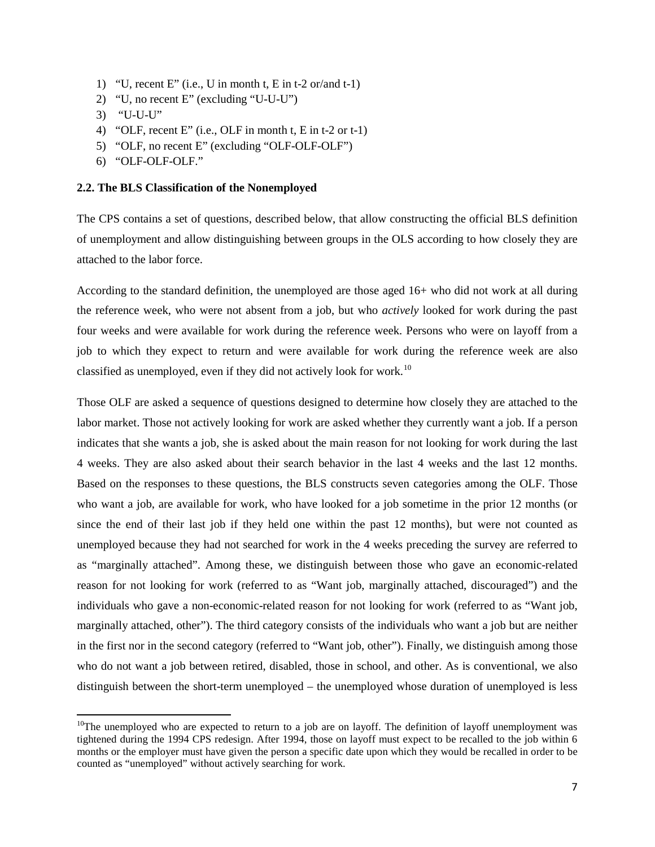- 1) "U, recent E" (i.e., U in month t, E in t-2 or/and t-1)
- 2) "U, no recent E" (excluding "U-U-U")
- 3) "U-U-U"

l

- 4) "OLF, recent E" (i.e., OLF in month t, E in t-2 or t-1)
- 5) "OLF, no recent E" (excluding "OLF-OLF-OLF")
- 6) "OLF-OLF-OLF."

#### **2.2. The BLS Classification of the Nonemployed**

The CPS contains a set of questions, described below, that allow constructing the official BLS definition of unemployment and allow distinguishing between groups in the OLS according to how closely they are attached to the labor force.

According to the standard definition, the unemployed are those aged 16+ who did not work at all during the reference week, who were not absent from a job, but who *actively* looked for work during the past four weeks and were available for work during the reference week. Persons who were on layoff from a job to which they expect to return and were available for work during the reference week are also classified as unemployed, even if they did not actively look for work.<sup>[10](#page-8-0)</sup>

Those OLF are asked a sequence of questions designed to determine how closely they are attached to the labor market. Those not actively looking for work are asked whether they currently want a job. If a person indicates that she wants a job, she is asked about the main reason for not looking for work during the last 4 weeks. They are also asked about their search behavior in the last 4 weeks and the last 12 months. Based on the responses to these questions, the BLS constructs seven categories among the OLF. Those who want a job, are available for work, who have looked for a job sometime in the prior 12 months (or since the end of their last job if they held one within the past 12 months), but were not counted as unemployed because they had not searched for work in the 4 weeks preceding the survey are referred to as "marginally attached". Among these, we distinguish between those who gave an economic-related reason for not looking for work (referred to as "Want job, marginally attached, discouraged") and the individuals who gave a non-economic-related reason for not looking for work (referred to as "Want job, marginally attached, other"). The third category consists of the individuals who want a job but are neither in the first nor in the second category (referred to "Want job, other"). Finally, we distinguish among those who do not want a job between retired, disabled, those in school, and other. As is conventional, we also distinguish between the short-term unemployed – the unemployed whose duration of unemployed is less

<span id="page-8-0"></span><sup>&</sup>lt;sup>10</sup>The unemployed who are expected to return to a job are on layoff. The definition of layoff unemployment was tightened during the 1994 CPS redesign. After 1994, those on layoff must expect to be recalled to the job within 6 months or the employer must have given the person a specific date upon which they would be recalled in order to be counted as "unemployed" without actively searching for work.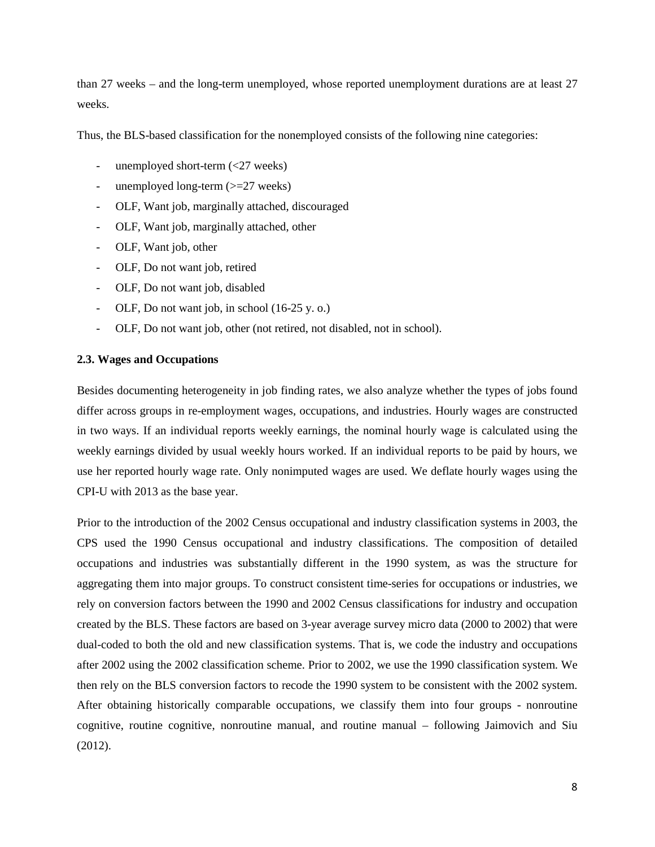than 27 weeks – and the long-term unemployed, whose reported unemployment durations are at least 27 weeks.

Thus, the BLS-based classification for the nonemployed consists of the following nine categories:

- unemployed short-term (<27 weeks)
- unemployed long-term  $(\geq=27$  weeks)
- OLF, Want job, marginally attached, discouraged
- OLF, Want job, marginally attached, other
- OLF, Want job, other
- OLF, Do not want job, retired
- OLF, Do not want job, disabled
- OLF, Do not want job, in school (16-25 y. o.)
- OLF, Do not want job, other (not retired, not disabled, not in school).

#### **2.3. Wages and Occupations**

Besides documenting heterogeneity in job finding rates, we also analyze whether the types of jobs found differ across groups in re-employment wages, occupations, and industries. Hourly wages are constructed in two ways. If an individual reports weekly earnings, the nominal hourly wage is calculated using the weekly earnings divided by usual weekly hours worked. If an individual reports to be paid by hours, we use her reported hourly wage rate. Only nonimputed wages are used. We deflate hourly wages using the CPI-U with 2013 as the base year.

Prior to the introduction of the 2002 Census occupational and industry classification systems in 2003, the CPS used the 1990 Census occupational and industry classifications. The composition of detailed occupations and industries was substantially different in the 1990 system, as was the structure for aggregating them into major groups. To construct consistent time-series for occupations or industries, we rely on conversion factors between the 1990 and 2002 Census classifications for industry and occupation created by the BLS. These factors are based on 3-year average survey micro data (2000 to 2002) that were dual-coded to both the old and new classification systems. That is, we code the industry and occupations after 2002 using the 2002 classification scheme. Prior to 2002, we use the 1990 classification system. We then rely on the BLS conversion factors to recode the 1990 system to be consistent with the 2002 system. After obtaining historically comparable occupations, we classify them into four groups - nonroutine cognitive, routine cognitive, nonroutine manual, and routine manual – following Jaimovich and Siu (2012).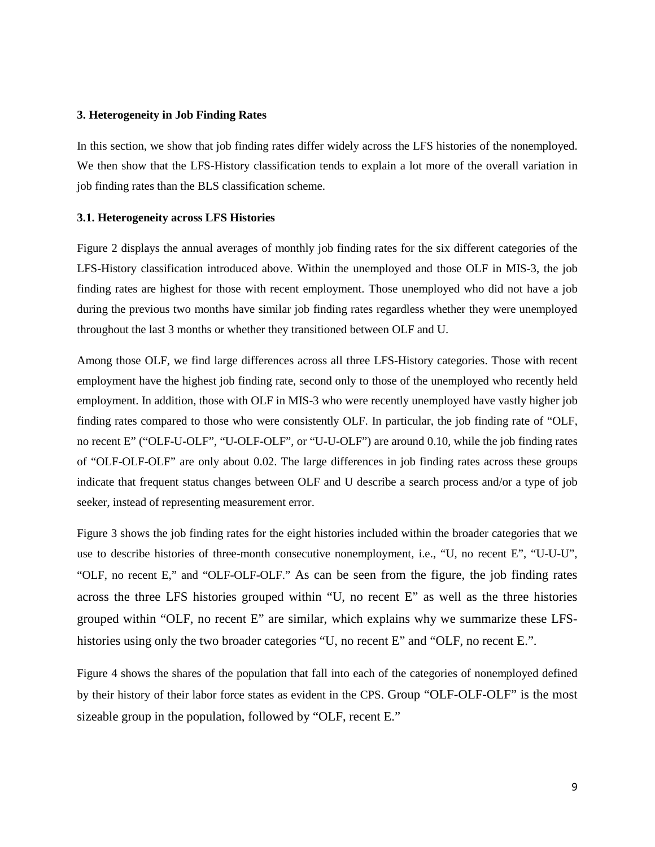#### **3. Heterogeneity in Job Finding Rates**

In this section, we show that job finding rates differ widely across the LFS histories of the nonemployed. We then show that the LFS-History classification tends to explain a lot more of the overall variation in job finding rates than the BLS classification scheme.

#### **3.1. Heterogeneity across LFS Histories**

Figure 2 displays the annual averages of monthly job finding rates for the six different categories of the LFS-History classification introduced above. Within the unemployed and those OLF in MIS-3, the job finding rates are highest for those with recent employment. Those unemployed who did not have a job during the previous two months have similar job finding rates regardless whether they were unemployed throughout the last 3 months or whether they transitioned between OLF and U.

Among those OLF, we find large differences across all three LFS-History categories. Those with recent employment have the highest job finding rate, second only to those of the unemployed who recently held employment. In addition, those with OLF in MIS-3 who were recently unemployed have vastly higher job finding rates compared to those who were consistently OLF. In particular, the job finding rate of "OLF, no recent E" ("OLF-U-OLF", "U-OLF-OLF", or "U-U-OLF") are around 0.10, while the job finding rates of "OLF-OLF-OLF" are only about 0.02. The large differences in job finding rates across these groups indicate that frequent status changes between OLF and U describe a search process and/or a type of job seeker, instead of representing measurement error.

Figure 3 shows the job finding rates for the eight histories included within the broader categories that we use to describe histories of three-month consecutive nonemployment, i.e., "U, no recent E", "U-U-U", "OLF, no recent E," and "OLF-OLF-OLF." As can be seen from the figure, the job finding rates across the three LFS histories grouped within "U, no recent E" as well as the three histories grouped within "OLF, no recent E" are similar, which explains why we summarize these LFShistories using only the two broader categories "U, no recent E" and "OLF, no recent E.".

Figure 4 shows the shares of the population that fall into each of the categories of nonemployed defined by their history of their labor force states as evident in the CPS. Group "OLF-OLF-OLF" is the most sizeable group in the population, followed by "OLF, recent E."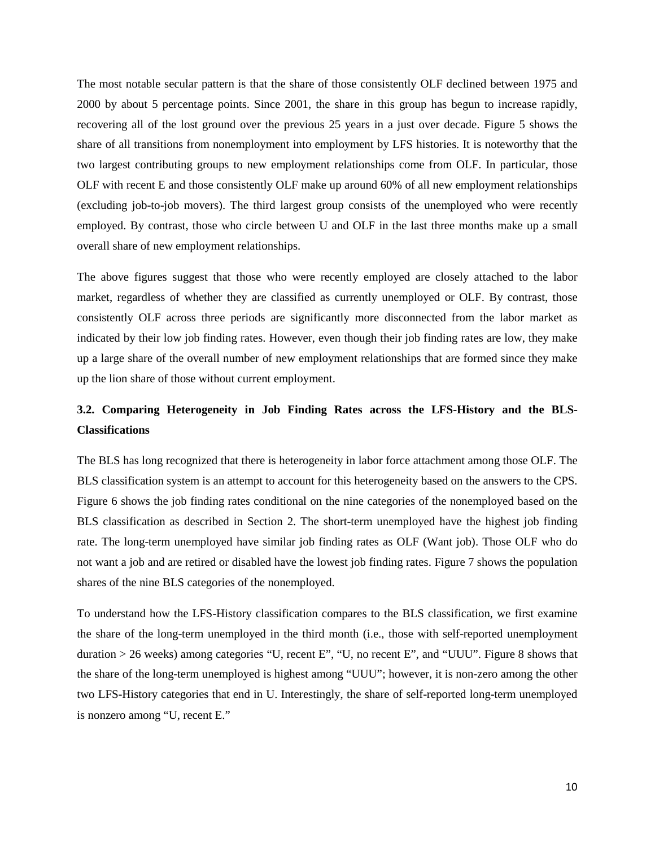The most notable secular pattern is that the share of those consistently OLF declined between 1975 and 2000 by about 5 percentage points. Since 2001, the share in this group has begun to increase rapidly, recovering all of the lost ground over the previous 25 years in a just over decade. Figure 5 shows the share of all transitions from nonemployment into employment by LFS histories. It is noteworthy that the two largest contributing groups to new employment relationships come from OLF. In particular, those OLF with recent E and those consistently OLF make up around 60% of all new employment relationships (excluding job-to-job movers). The third largest group consists of the unemployed who were recently employed. By contrast, those who circle between U and OLF in the last three months make up a small overall share of new employment relationships.

The above figures suggest that those who were recently employed are closely attached to the labor market, regardless of whether they are classified as currently unemployed or OLF. By contrast, those consistently OLF across three periods are significantly more disconnected from the labor market as indicated by their low job finding rates. However, even though their job finding rates are low, they make up a large share of the overall number of new employment relationships that are formed since they make up the lion share of those without current employment.

### **3.2. Comparing Heterogeneity in Job Finding Rates across the LFS-History and the BLS-Classifications**

The BLS has long recognized that there is heterogeneity in labor force attachment among those OLF. The BLS classification system is an attempt to account for this heterogeneity based on the answers to the CPS. Figure 6 shows the job finding rates conditional on the nine categories of the nonemployed based on the BLS classification as described in Section 2. The short-term unemployed have the highest job finding rate. The long-term unemployed have similar job finding rates as OLF (Want job). Those OLF who do not want a job and are retired or disabled have the lowest job finding rates. Figure 7 shows the population shares of the nine BLS categories of the nonemployed.

To understand how the LFS-History classification compares to the BLS classification, we first examine the share of the long-term unemployed in the third month (i.e., those with self-reported unemployment duration > 26 weeks) among categories "U, recent E", "U, no recent E", and "UUU". Figure 8 shows that the share of the long-term unemployed is highest among "UUU"; however, it is non-zero among the other two LFS-History categories that end in U. Interestingly, the share of self-reported long-term unemployed is nonzero among "U, recent E."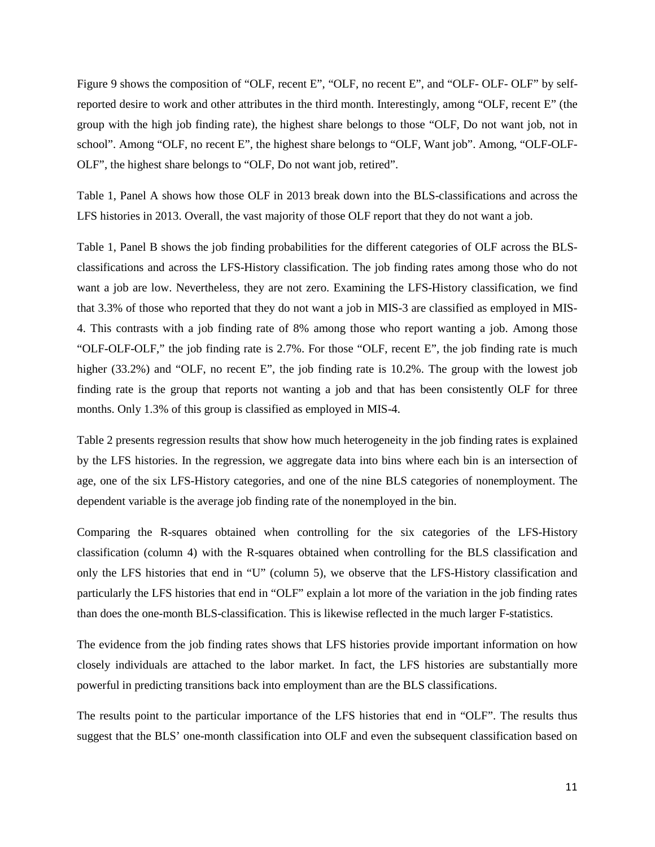Figure 9 shows the composition of "OLF, recent E", "OLF, no recent E", and "OLF- OLF- OLF" by selfreported desire to work and other attributes in the third month. Interestingly, among "OLF, recent E" (the group with the high job finding rate), the highest share belongs to those "OLF, Do not want job, not in school". Among "OLF, no recent E", the highest share belongs to "OLF, Want job". Among, "OLF-OLF-OLF", the highest share belongs to "OLF, Do not want job, retired".

Table 1, Panel A shows how those OLF in 2013 break down into the BLS-classifications and across the LFS histories in 2013. Overall, the vast majority of those OLF report that they do not want a job.

Table 1, Panel B shows the job finding probabilities for the different categories of OLF across the BLSclassifications and across the LFS-History classification. The job finding rates among those who do not want a job are low. Nevertheless, they are not zero. Examining the LFS-History classification, we find that 3.3% of those who reported that they do not want a job in MIS-3 are classified as employed in MIS-4. This contrasts with a job finding rate of 8% among those who report wanting a job. Among those "OLF-OLF-OLF," the job finding rate is 2.7%. For those "OLF, recent E", the job finding rate is much higher (33.2%) and "OLF, no recent E", the job finding rate is 10.2%. The group with the lowest job finding rate is the group that reports not wanting a job and that has been consistently OLF for three months. Only 1.3% of this group is classified as employed in MIS-4.

Table 2 presents regression results that show how much heterogeneity in the job finding rates is explained by the LFS histories. In the regression, we aggregate data into bins where each bin is an intersection of age, one of the six LFS-History categories, and one of the nine BLS categories of nonemployment. The dependent variable is the average job finding rate of the nonemployed in the bin.

Comparing the R-squares obtained when controlling for the six categories of the LFS-History classification (column 4) with the R-squares obtained when controlling for the BLS classification and only the LFS histories that end in "U" (column 5), we observe that the LFS-History classification and particularly the LFS histories that end in "OLF" explain a lot more of the variation in the job finding rates than does the one-month BLS-classification. This is likewise reflected in the much larger F-statistics.

The evidence from the job finding rates shows that LFS histories provide important information on how closely individuals are attached to the labor market. In fact, the LFS histories are substantially more powerful in predicting transitions back into employment than are the BLS classifications.

The results point to the particular importance of the LFS histories that end in "OLF". The results thus suggest that the BLS' one-month classification into OLF and even the subsequent classification based on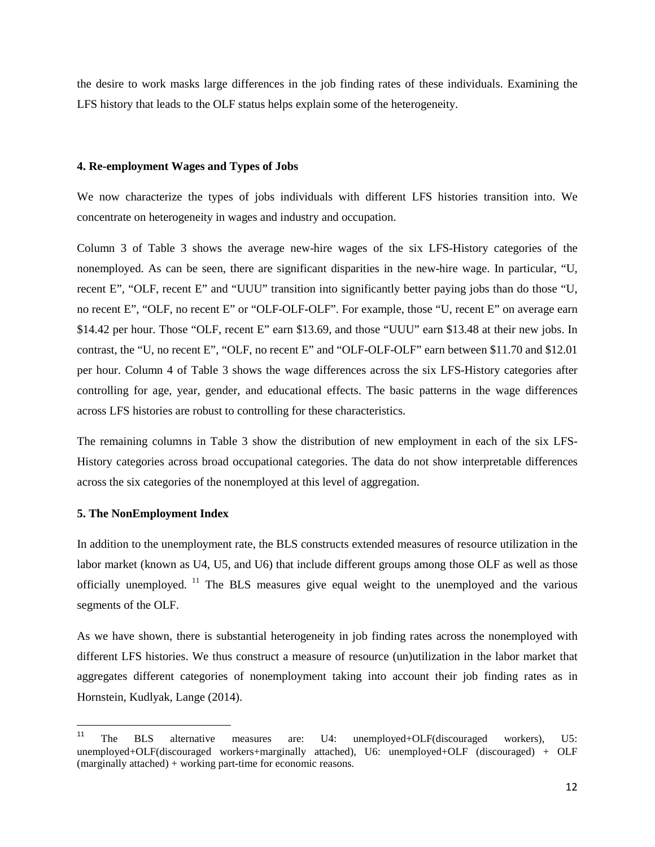the desire to work masks large differences in the job finding rates of these individuals. Examining the LFS history that leads to the OLF status helps explain some of the heterogeneity.

#### **4. Re-employment Wages and Types of Jobs**

We now characterize the types of jobs individuals with different LFS histories transition into. We concentrate on heterogeneity in wages and industry and occupation.

Column 3 of Table 3 shows the average new-hire wages of the six LFS-History categories of the nonemployed. As can be seen, there are significant disparities in the new-hire wage. In particular, "U, recent E", "OLF, recent E" and "UUU" transition into significantly better paying jobs than do those "U, no recent E", "OLF, no recent E" or "OLF-OLF-OLF". For example, those "U, recent E" on average earn \$14.42 per hour. Those "OLF, recent E" earn \$13.69, and those "UUU" earn \$13.48 at their new jobs. In contrast, the "U, no recent E", "OLF, no recent E" and "OLF-OLF-OLF" earn between \$11.70 and \$12.01 per hour. Column 4 of Table 3 shows the wage differences across the six LFS-History categories after controlling for age, year, gender, and educational effects. The basic patterns in the wage differences across LFS histories are robust to controlling for these characteristics.

The remaining columns in Table 3 show the distribution of new employment in each of the six LFS-History categories across broad occupational categories. The data do not show interpretable differences across the six categories of the nonemployed at this level of aggregation.

#### **5. The NonEmployment Index**

In addition to the unemployment rate, the BLS constructs extended measures of resource utilization in the labor market (known as U4, U5, and U6) that include different groups among those OLF as well as those officially unemployed. [11](#page-13-0) The BLS measures give equal weight to the unemployed and the various segments of the OLF.

As we have shown, there is substantial heterogeneity in job finding rates across the nonemployed with different LFS histories. We thus construct a measure of resource (un)utilization in the labor market that aggregates different categories of nonemployment taking into account their job finding rates as in Hornstein, Kudlyak, Lange (2014).

<span id="page-13-0"></span><sup>11</sup> The BLS alternative measures are: U4: unemployed+OLF(discouraged workers), U5: unemployed+OLF(discouraged workers+marginally attached), U6: unemployed+OLF (discouraged) + OLF (marginally attached) + working part-time for economic reasons.  $11$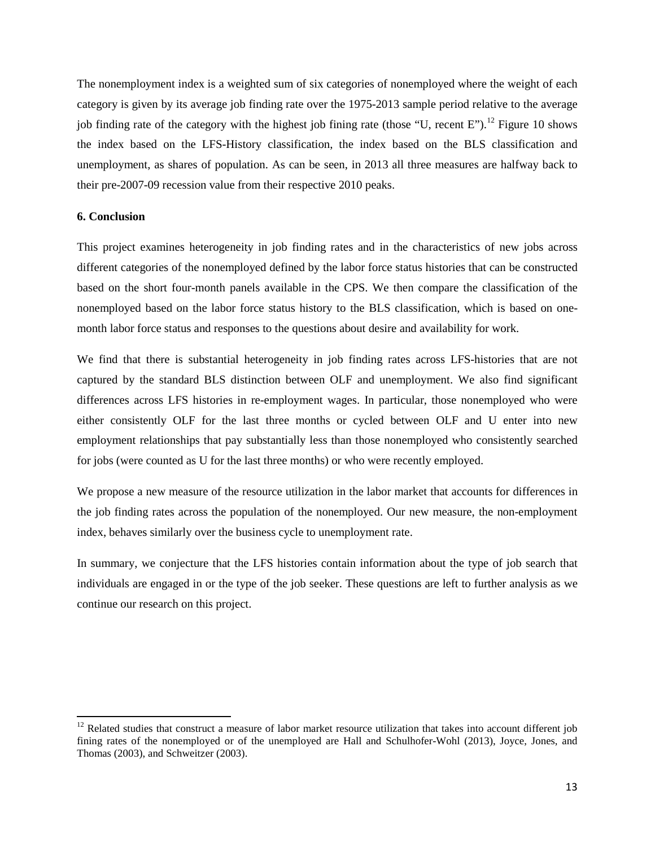The nonemployment index is a weighted sum of six categories of nonemployed where the weight of each category is given by its average job finding rate over the 1975-2013 sample period relative to the average job finding rate of the category with the highest job fining rate (those "U, recent E").<sup>[12](#page-14-0)</sup> Figure 10 shows the index based on the LFS-History classification, the index based on the BLS classification and unemployment, as shares of population. As can be seen, in 2013 all three measures are halfway back to their pre-2007-09 recession value from their respective 2010 peaks.

#### **6. Conclusion**

l

This project examines heterogeneity in job finding rates and in the characteristics of new jobs across different categories of the nonemployed defined by the labor force status histories that can be constructed based on the short four-month panels available in the CPS. We then compare the classification of the nonemployed based on the labor force status history to the BLS classification, which is based on onemonth labor force status and responses to the questions about desire and availability for work.

We find that there is substantial heterogeneity in job finding rates across LFS-histories that are not captured by the standard BLS distinction between OLF and unemployment. We also find significant differences across LFS histories in re-employment wages. In particular, those nonemployed who were either consistently OLF for the last three months or cycled between OLF and U enter into new employment relationships that pay substantially less than those nonemployed who consistently searched for jobs (were counted as U for the last three months) or who were recently employed.

We propose a new measure of the resource utilization in the labor market that accounts for differences in the job finding rates across the population of the nonemployed. Our new measure, the non-employment index, behaves similarly over the business cycle to unemployment rate.

In summary, we conjecture that the LFS histories contain information about the type of job search that individuals are engaged in or the type of the job seeker. These questions are left to further analysis as we continue our research on this project.

<span id="page-14-0"></span> $12$  Related studies that construct a measure of labor market resource utilization that takes into account different job fining rates of the nonemployed or of the unemployed are Hall and Schulhofer-Wohl (2013), [Joyce,](http://www.researchgate.net/researcher/5843478_Michael_Joyce) Jones, and Thomas (2003), and Schweitzer (2003).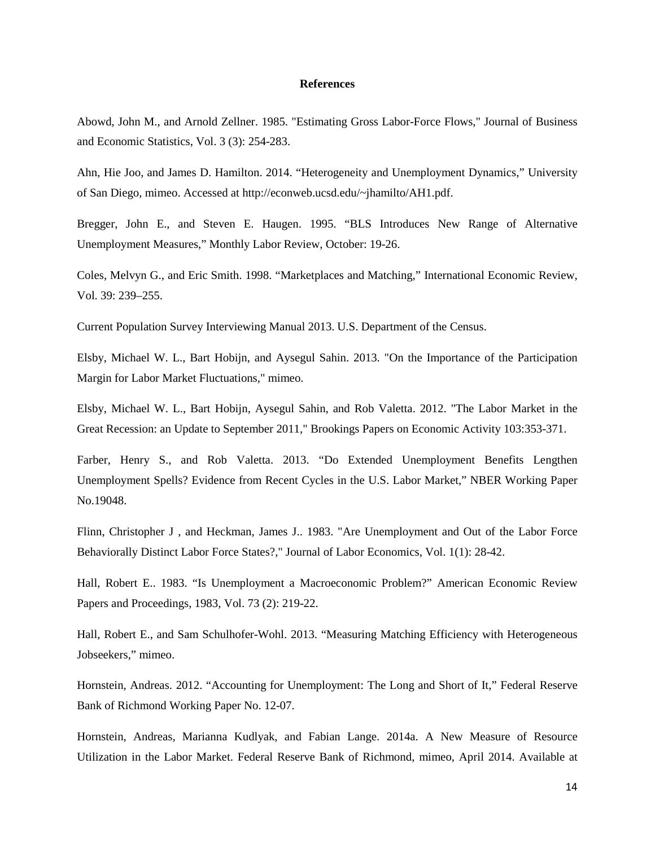#### **References**

Abowd, John M., and Arnold Zellner. 1985. "Estimating Gross Labor-Force Flows," Journal of Business and Economic Statistics, Vol. 3 (3): 254-283.

Ahn, [Hie Joo,](http://econweb.ucsd.edu/%7Ehjahn/index.html) and James D. Hamilton. 2014. ["Heterogeneity and Unemployment Dynamics,](http://econweb.ucsd.edu/%7Ejhamilto/AH1.pdf)" University of San Diego, mimeo. Accessed at [http://econweb.ucsd.edu/~jhamilto/AH1.pdf.](http://econweb.ucsd.edu/%7Ejhamilto/AH1.pdf)

Bregger, John E., and Steven E. Haugen. 1995. ["BLS Introduces New Range of Alternative](http://www.google.com/url?sa=t&rct=j&q=&esrc=s&source=web&cd=1&ved=0CCoQFjAA&url=http%3A%2F%2Fwww.bls.gov%2Fmlr%2F1995%2F10%2Fart3full.pdf&ei=mwX5UqHFKqW50gHEpIDACw&usg=AFQjCNGA8XL0Vw1Yp4eJBvMkWLSU-4sCaA&sig2=vIQVDjQoXiLXgvuj68PH3w&bvm=bv.60983673,d.dmQ) [Unemployment Measures,](http://www.google.com/url?sa=t&rct=j&q=&esrc=s&source=web&cd=1&ved=0CCoQFjAA&url=http%3A%2F%2Fwww.bls.gov%2Fmlr%2F1995%2F10%2Fart3full.pdf&ei=mwX5UqHFKqW50gHEpIDACw&usg=AFQjCNGA8XL0Vw1Yp4eJBvMkWLSU-4sCaA&sig2=vIQVDjQoXiLXgvuj68PH3w&bvm=bv.60983673,d.dmQ)" Monthly Labor Review, October: 19-26.

Coles, Melvyn G., and Eric Smith. 1998. "Marketplaces and Matching," International Economic Review, Vol. 39: 239–255.

Current Population Survey Interviewing Manual 2013. U.S. Department of the Census.

Elsby, Michael W. L., Bart Hobijn, and Aysegul Sahin. 2013. "On the Importance of the Participation Margin for Labor Market Fluctuations," mimeo.

Elsby, Michael W. L., Bart Hobijn, Aysegul Sahin, and Rob Valetta. 2012. "The Labor Market in the Great Recession: an Update to September 2011," Brookings Papers on Economic Activity 103:353-371.

Farber, Henry S., and Rob Valetta. 2013. ["Do Extended Unemployment Benefits Lengthen](http://www.nber.org/papers/w19048)  [Unemployment Spells? Evidence from Recent Cycles in the U.S. Labor Market,](http://www.nber.org/papers/w19048)" NBER Working Paper No.19048.

Flinn, Christopher J , and Heckman, James J.. 1983. "Are Unemployment and Out of the Labor Force Behaviorally Distinct Labor Force States?," Journal of Labor Economics, Vol. 1(1): 28-42.

[Hall,](mailto:Hall) Robert E.. 1983. "Is Unemployment a Macroeconomic Problem?" [American Economic Review](http://econpapers.repec.org/article/aeaaecrev/) Papers and Proceedings, 1983, Vol. 73 (2): 219-22.

Hall, Robert E., and Sam Schulhofer-Wohl. 2013. "Measuring Matching Efficiency with Heterogeneous Jobseekers," mimeo.

Hornstein, Andreas. 2012. "Accounting for Unemployment: The Long and Short of It," Federal Reserve Bank of Richmond Working Paper No. 12-07.

Hornstein, Andreas, Marianna Kudlyak, and Fabian Lange. 2014a. A New Measure of Resource Utilization in the Labor Market. Federal Reserve Bank of Richmond, mimeo, April 2014. Available at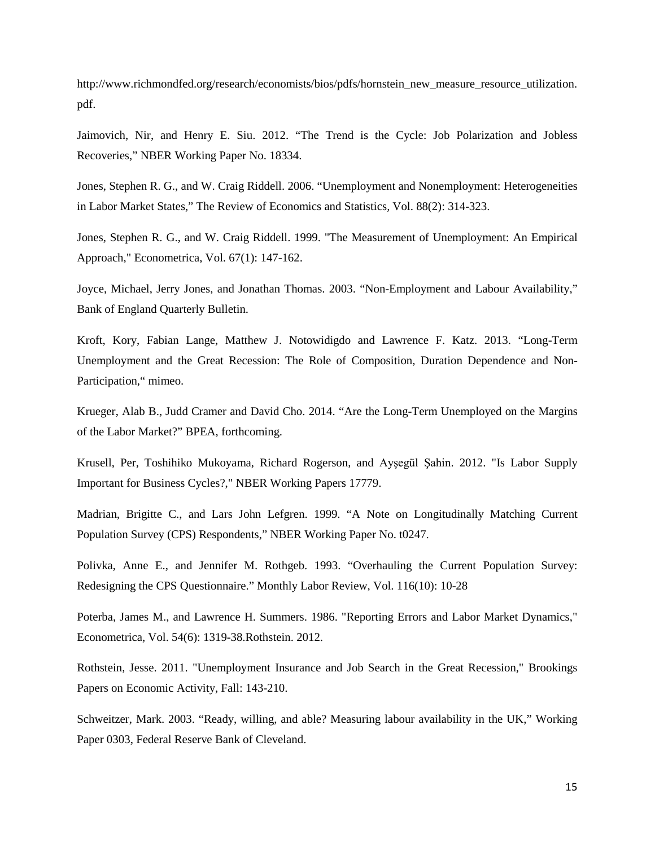http://www.richmondfed.org/research/economists/bios/pdfs/hornstein\_new\_measure\_resource\_utilization. pdf.

[Jaimovich,](http://www.nber.org/people/nir_jaimovich) Nir, and [Henry E. Siu.](http://www.nber.org/people/henry_siu) 2012. "The Trend is the Cycle: Job Polarization and Jobless Recoveries," NBER Working Paper No. 18334.

Jones, Stephen R. G., and W. Craig Riddell. 2006. "Unemployment and Nonemployment: Heterogeneities in Labor Market States," The Review of Economics and Statistics*,* Vol. 88(2): 314-323.

Jones, Stephen R. G., and W. Craig Riddell. 1999. ["The Measurement of Unemployment: An Empirical](http://ideas.repec.org/a/ecm/emetrp/v67y1999i1p147-162.html)  [Approach,](http://ideas.repec.org/a/ecm/emetrp/v67y1999i1p147-162.html)" [Econometrica,](http://ideas.repec.org/s/ecm/emetrp.html) Vol. 67(1): 147-162.

[Joyce,](http://www.researchgate.net/researcher/5843478_Michael_Joyce) Michael, [Jerry Jones,](http://www.researchgate.net/researcher/80995709_Jerry_Jones) and [Jonathan Thomas.](http://www.researchgate.net/researcher/80989838_Jonathan_Thomas) 2003. "Non-Employment and Labour Availability," Bank of England Quarterly Bulletin.

Kroft, Kory, Fabian Lange, Matthew J. Notowidigdo and Lawrence F. Katz. 2013. ["Long-Term](http://korykroft.com/wordpress/KLNK_LTU_and_Great_Recession_sep16_2013.pdf)  [Unemployment and the Great Recession: The Role of Composition, Duration Dependence and Non-](http://korykroft.com/wordpress/KLNK_LTU_and_Great_Recession_sep16_2013.pdf)[Participation,](http://korykroft.com/wordpress/KLNK_LTU_and_Great_Recession_sep16_2013.pdf)" mimeo.

Krueger, Alab B., Judd Cramer and David Cho. 2014. "Are the Long-Term Unemployed on the Margins of the Labor Market?" BPEA, forthcoming.

Krusell, Per, Toshihiko Mukoyama, Richard Rogerson, and Ayşegül Şahin. 2012. ["Is Labor Supply](https://ideas.repec.org/p/nbr/nberwo/17779.html)  [Important for Business Cycles?,](https://ideas.repec.org/p/nbr/nberwo/17779.html)" [NBER Working Papers](https://ideas.repec.org/s/nbr/nberwo.html) 17779.

[Madrian, Brigitte C., a](http://papers.ssrn.com/sol3/cf_dev/AbsByAuth.cfm?per_id=85592)nd Lars John Lefgren. 1999. "A Note on Longitudinally Matching Current Population Survey (CPS) Respondents," [NBER Working Paper No. t0247.](http://papers.ssrn.com/sol3/papers.cfm?abstract_id=226653%23%23)

Polivka, Anne E., and Jennifer M. Rothgeb. 1993. "Overhauling the Current Population Survey: Redesigning the CPS Questionnaire." Monthly Labor Review, Vol. 116(10): 10-28

Poterba, James M., and Lawrence H. Summers. 1986. ["Reporting Errors and Labor Market Dynamics,](http://ideas.repec.org/a/ecm/emetrp/v54y1986i6p1319-38.html)" [Econometrica,](http://ideas.repec.org/s/ecm/emetrp.html) Vol. 54(6): 1319-38.Rothstein. 2012.

Rothstein, Jesse. 2011. "Unemployment Insurance and Job Search in the Great Recession," Brookings Papers on Economic Activity*,* Fall: 143-210.

[Schweitzer, Mark. 2003. "R](http://ideas.repec.org/f/psc593.html)eady, willing, and able? Measuring labour availability in the UK," [Working](http://ideas.repec.org/s/fip/fedcwp.html)  [Paper](http://ideas.repec.org/s/fip/fedcwp.html) 0303, Federal Reserve Bank of Cleveland.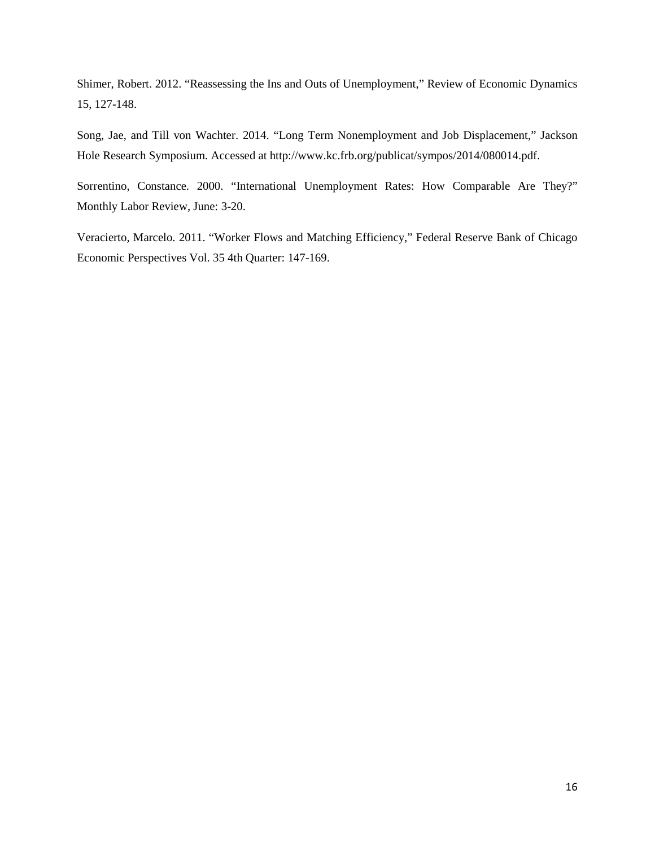Shimer, Robert. 2012. "Reassessing the Ins and Outs of Unemployment," Review of Economic Dynamics 15, 127-148.

Song, Jae, and Till von Wachter. 2014. "Long Term Nonemployment and Job Displacement," Jackson Hole Research Symposium. Accessed at http://www.kc.frb.org/publicat/sympos/2014/080014.pdf.

Sorrentino, Constance. 2000. "International Unemployment Rates: How Comparable Are They?" Monthly Labor Review, June: 3-20.

Veracierto, Marcelo. 2011. "Worker Flows and Matching Efficiency," Federal Reserve Bank of Chicago Economic Perspectives Vol. 35 4th Quarter: 147-169.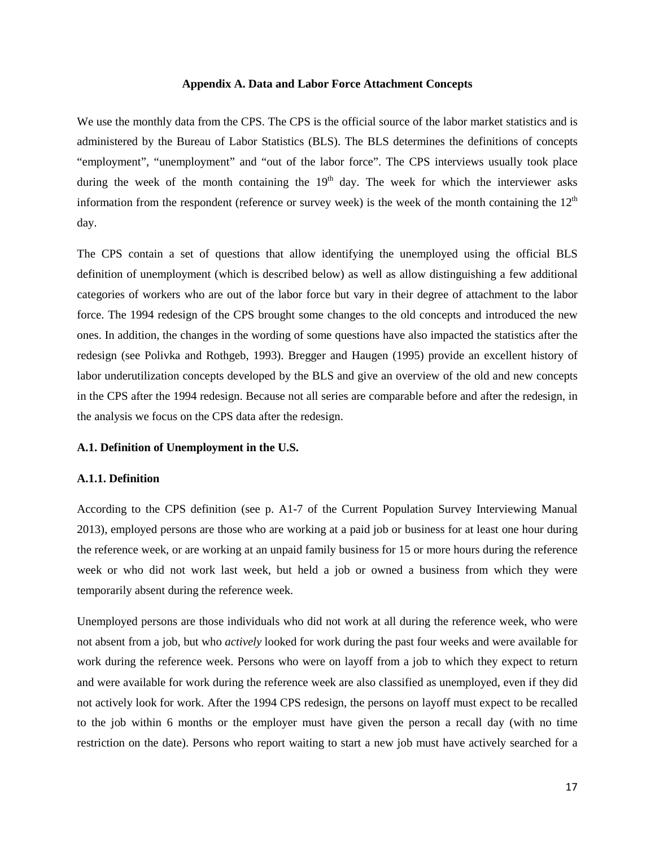#### **Appendix A. Data and Labor Force Attachment Concepts**

We use the monthly data from the CPS. The CPS is the official source of the labor market statistics and is administered by the Bureau of Labor Statistics (BLS). The BLS determines the definitions of concepts "employment", "unemployment" and "out of the labor force". The CPS interviews usually took place during the week of the month containing the  $19<sup>th</sup>$  day. The week for which the interviewer asks information from the respondent (reference or survey week) is the week of the month containing the  $12<sup>th</sup>$ day.

The CPS contain a set of questions that allow identifying the unemployed using the official BLS definition of unemployment (which is described below) as well as allow distinguishing a few additional categories of workers who are out of the labor force but vary in their degree of attachment to the labor force. The 1994 redesign of the CPS brought some changes to the old concepts and introduced the new ones. In addition, the changes in the wording of some questions have also impacted the statistics after the redesign (see Polivka and Rothgeb, 1993). Bregger and Haugen (1995) provide an excellent history of labor underutilization concepts developed by the BLS and give an overview of the old and new concepts in the CPS after the 1994 redesign. Because not all series are comparable before and after the redesign, in the analysis we focus on the CPS data after the redesign.

#### **A.1. Definition of Unemployment in the U.S.**

#### **A.1.1. Definition**

According to the CPS definition (see p. A1-7 of the Current Population Survey Interviewing Manual 2013), employed persons are those who are working at a paid job or business for at least one hour during the reference week, or are working at an unpaid family business for 15 or more hours during the reference week or who did not work last week, but held a job or owned a business from which they were temporarily absent during the reference week.

Unemployed persons are those individuals who did not work at all during the reference week, who were not absent from a job, but who *actively* looked for work during the past four weeks and were available for work during the reference week. Persons who were on layoff from a job to which they expect to return and were available for work during the reference week are also classified as unemployed, even if they did not actively look for work. After the 1994 CPS redesign, the persons on layoff must expect to be recalled to the job within 6 months or the employer must have given the person a recall day (with no time restriction on the date). Persons who report waiting to start a new job must have actively searched for a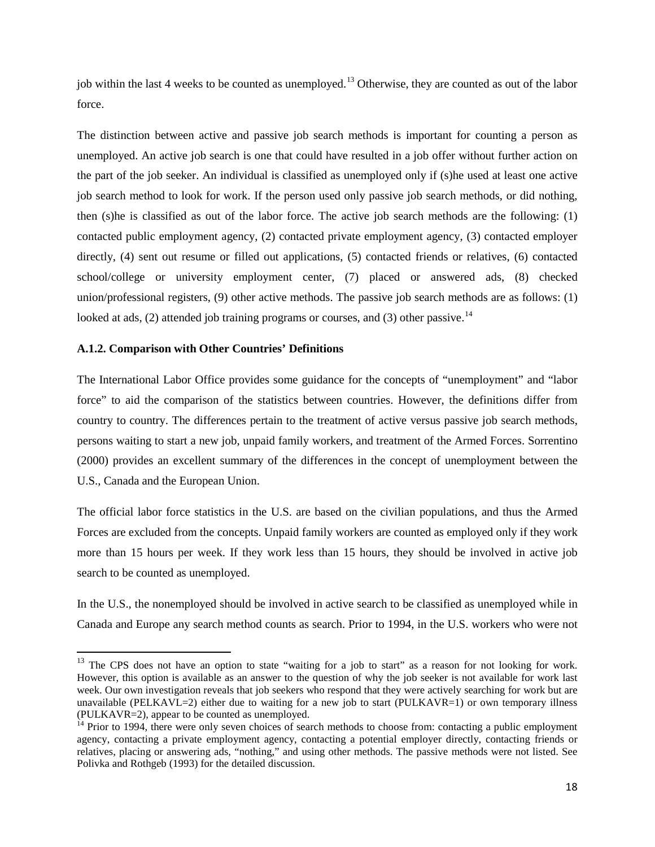job within the last 4 weeks to be counted as unemployed.<sup>[13](#page-19-0)</sup> Otherwise, they are counted as out of the labor force.

The distinction between active and passive job search methods is important for counting a person as unemployed. An active job search is one that could have resulted in a job offer without further action on the part of the job seeker. An individual is classified as unemployed only if (s)he used at least one active job search method to look for work. If the person used only passive job search methods, or did nothing, then (s)he is classified as out of the labor force. The active job search methods are the following: (1) contacted public employment agency, (2) contacted private employment agency, (3) contacted employer directly, (4) sent out resume or filled out applications, (5) contacted friends or relatives, (6) contacted school/college or university employment center, (7) placed or answered ads, (8) checked union/professional registers, (9) other active methods. The passive job search methods are as follows: (1) looked at ads,  $(2)$  attended job training programs or courses, and  $(3)$  other passive.<sup>[14](#page-19-1)</sup>

#### **A.1.2. Comparison with Other Countries' Definitions**

 $\overline{\phantom{a}}$ 

The International Labor Office provides some guidance for the concepts of "unemployment" and "labor force" to aid the comparison of the statistics between countries. However, the definitions differ from country to country. The differences pertain to the treatment of active versus passive job search methods, persons waiting to start a new job, unpaid family workers, and treatment of the Armed Forces. Sorrentino (2000) provides an excellent summary of the differences in the concept of unemployment between the U.S., Canada and the European Union.

The official labor force statistics in the U.S. are based on the civilian populations, and thus the Armed Forces are excluded from the concepts. Unpaid family workers are counted as employed only if they work more than 15 hours per week. If they work less than 15 hours, they should be involved in active job search to be counted as unemployed.

In the U.S., the nonemployed should be involved in active search to be classified as unemployed while in Canada and Europe any search method counts as search. Prior to 1994, in the U.S. workers who were not

<span id="page-19-0"></span><sup>&</sup>lt;sup>13</sup> The CPS does not have an option to state "waiting for a job to start" as a reason for not looking for work. However, this option is available as an answer to the question of why the job seeker is not available for work last week. Our own investigation reveals that job seekers who respond that they were actively searching for work but are unavailable (PELKAVL=2) either due to waiting for a new job to start (PULKAVR=1) or own temporary illness (PULKAVR=2), appear to be counted as unemployed.

<span id="page-19-1"></span> $<sup>14</sup>$  Prior to 1994, there were only seven choices of search methods to choose from: contacting a public employment</sup> agency, contacting a private employment agency, contacting a potential employer directly, contacting friends or relatives, placing or answering ads, "nothing," and using other methods. The passive methods were not listed. See Polivka and Rothgeb (1993) for the detailed discussion.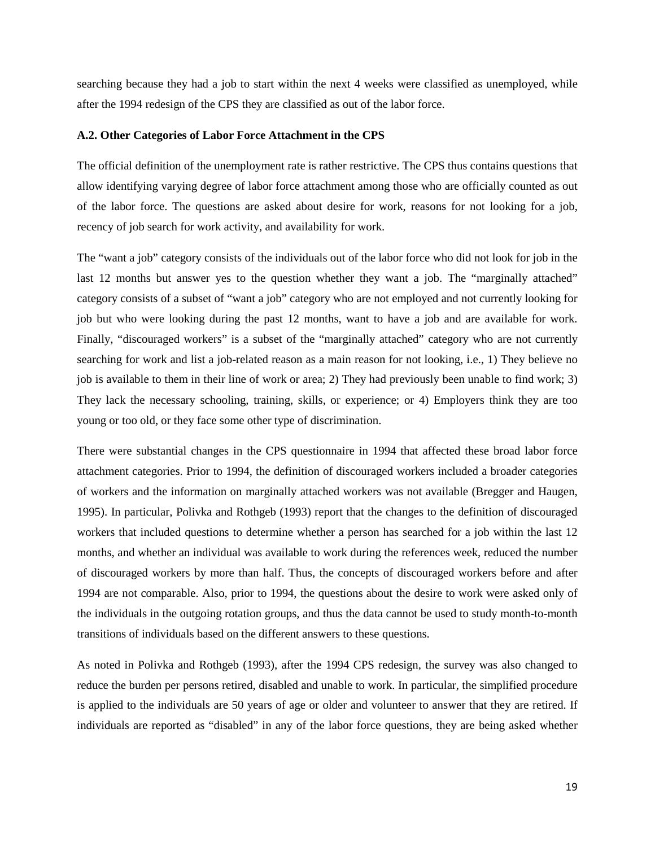searching because they had a job to start within the next 4 weeks were classified as unemployed, while after the 1994 redesign of the CPS they are classified as out of the labor force.

#### **A.2. Other Categories of Labor Force Attachment in the CPS**

The official definition of the unemployment rate is rather restrictive. The CPS thus contains questions that allow identifying varying degree of labor force attachment among those who are officially counted as out of the labor force. The questions are asked about desire for work, reasons for not looking for a job, recency of job search for work activity, and availability for work.

The "want a job" category consists of the individuals out of the labor force who did not look for job in the last 12 months but answer yes to the question whether they want a job. The "marginally attached" category consists of a subset of "want a job" category who are not employed and not currently looking for job but who were looking during the past 12 months, want to have a job and are available for work. Finally, "discouraged workers" is a subset of the "marginally attached" category who are not currently searching for work and list a job-related reason as a main reason for not looking, i.e., 1) They believe no job is available to them in their line of work or area; 2) They had previously been unable to find work; 3) They lack the necessary schooling, training, skills, or experience; or 4) Employers think they are too young or too old, or they face some other type of discrimination.

There were substantial changes in the CPS questionnaire in 1994 that affected these broad labor force attachment categories. Prior to 1994, the definition of discouraged workers included a broader categories of workers and the information on marginally attached workers was not available (Bregger and Haugen, 1995). In particular, Polivka and Rothgeb (1993) report that the changes to the definition of discouraged workers that included questions to determine whether a person has searched for a job within the last 12 months, and whether an individual was available to work during the references week, reduced the number of discouraged workers by more than half. Thus, the concepts of discouraged workers before and after 1994 are not comparable. Also, prior to 1994, the questions about the desire to work were asked only of the individuals in the outgoing rotation groups, and thus the data cannot be used to study month-to-month transitions of individuals based on the different answers to these questions.

As noted in Polivka and Rothgeb (1993), after the 1994 CPS redesign, the survey was also changed to reduce the burden per persons retired, disabled and unable to work. In particular, the simplified procedure is applied to the individuals are 50 years of age or older and volunteer to answer that they are retired. If individuals are reported as "disabled" in any of the labor force questions, they are being asked whether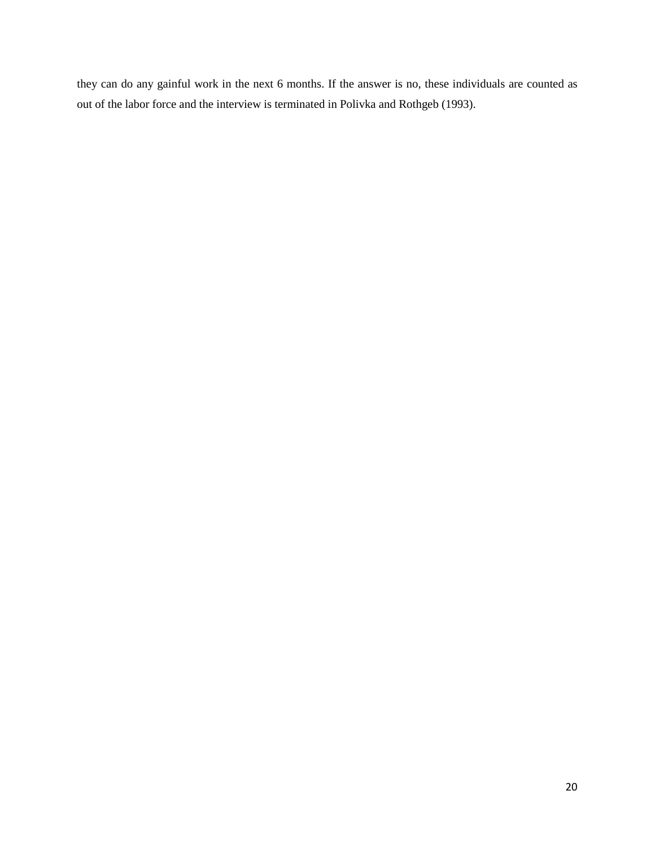they can do any gainful work in the next 6 months. If the answer is no, these individuals are counted as out of the labor force and the interview is terminated in Polivka and Rothgeb (1993).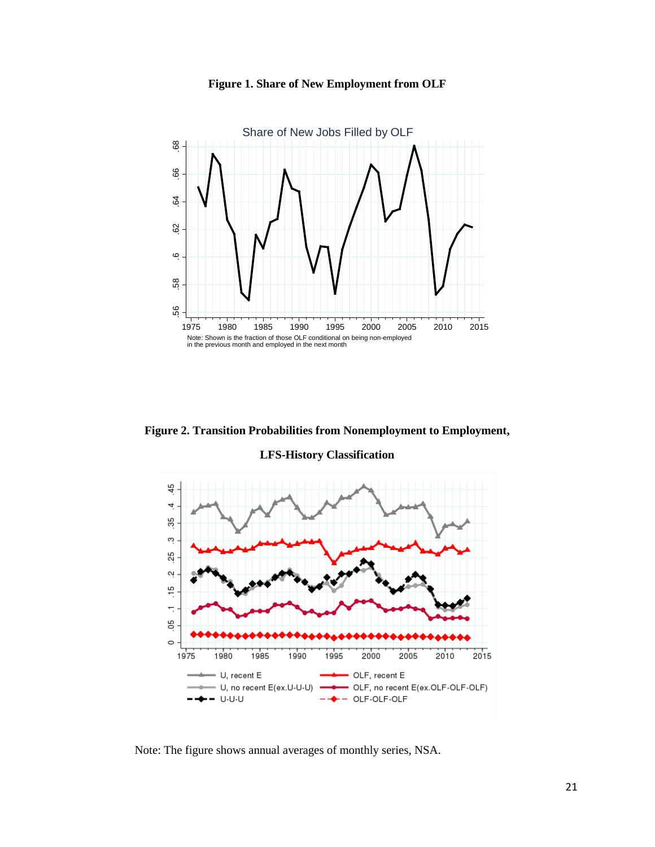

**Figure 1. Share of New Employment from OLF**

**Figure 2. Transition Probabilities from Nonemployment to Employment,** 



#### **LFS-History Classification**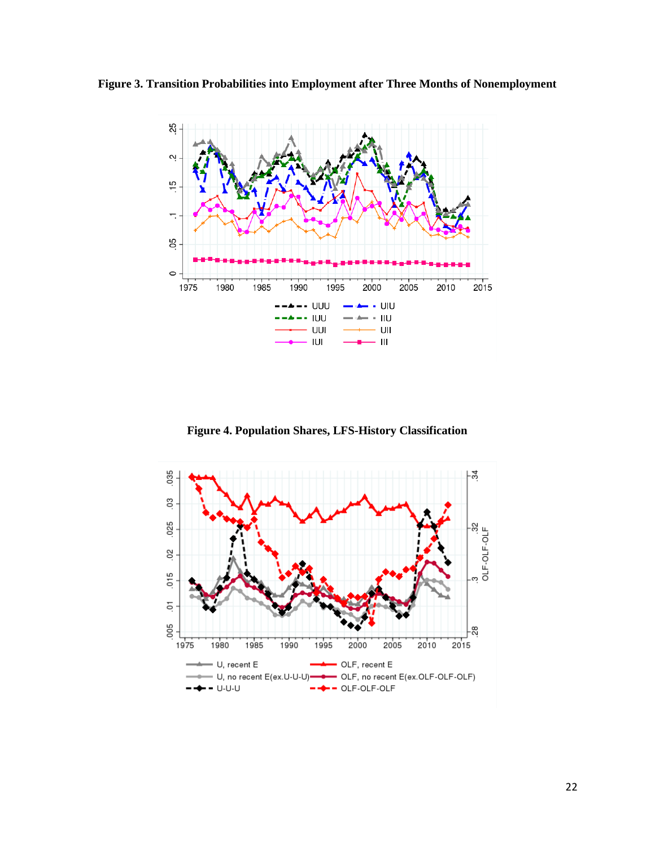



**Figure 4. Population Shares, LFS-History Classification**

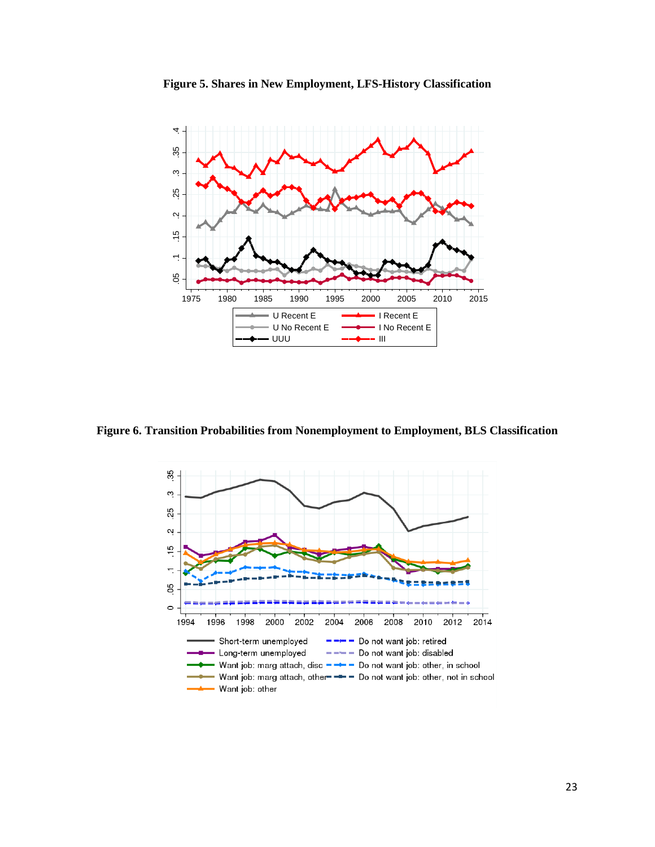

**Figure 5. Shares in New Employment, LFS-History Classification**

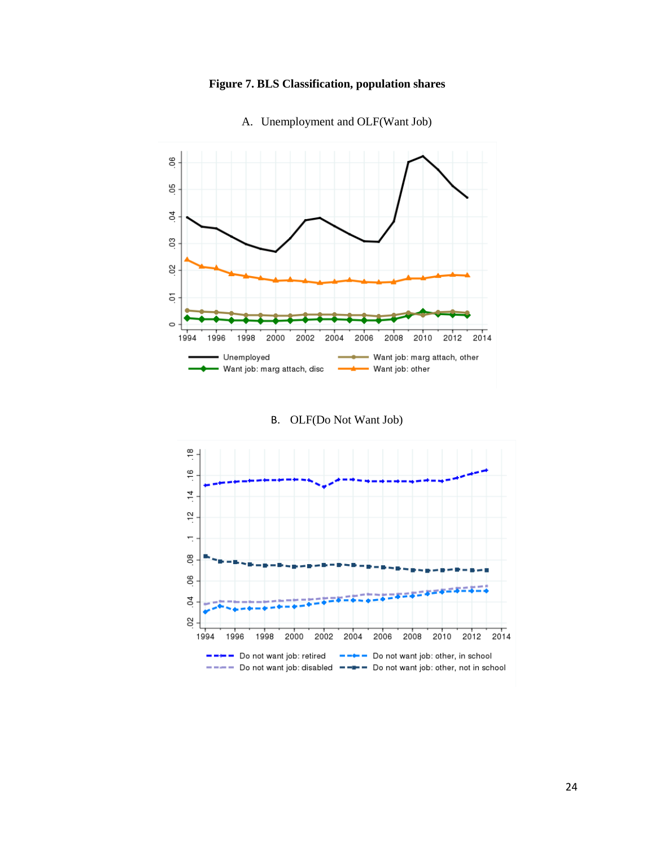### **Figure 7. BLS Classification, population shares**



A. Unemployment and OLF(Want Job)

B. OLF(Do Not Want Job)

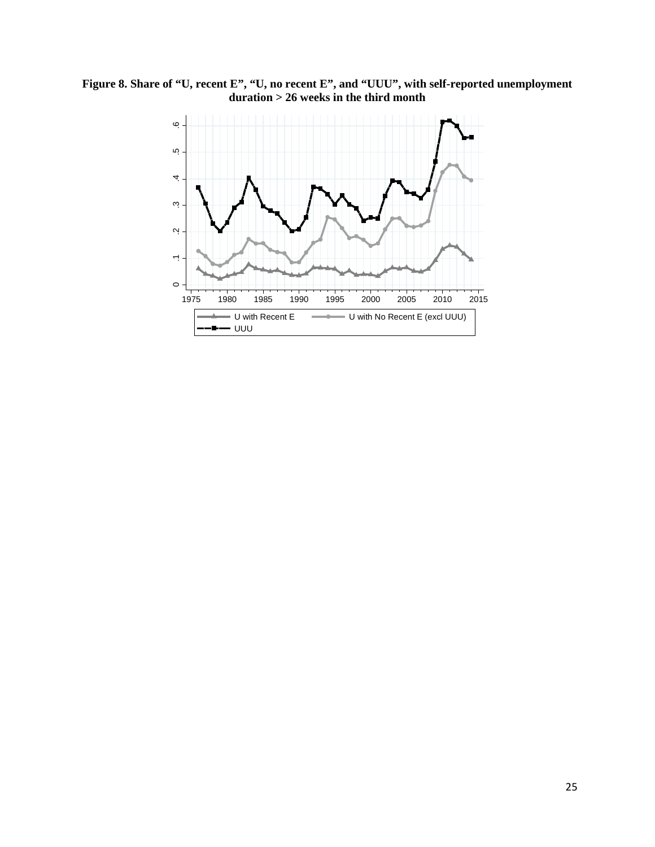

**Figure 8. Share of "U, recent E", "U, no recent E", and "UUU", with self-reported unemployment duration > 26 weeks in the third month**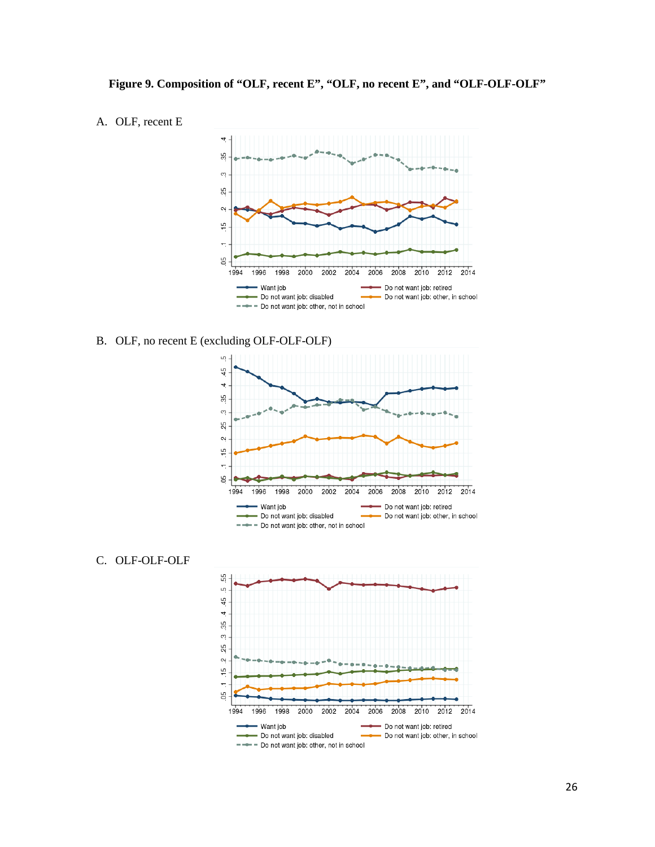#### A. OLF, recent E



B. OLF, no recent E (excluding OLF-OLF-OLF)



C. OLF-OLF-OLF

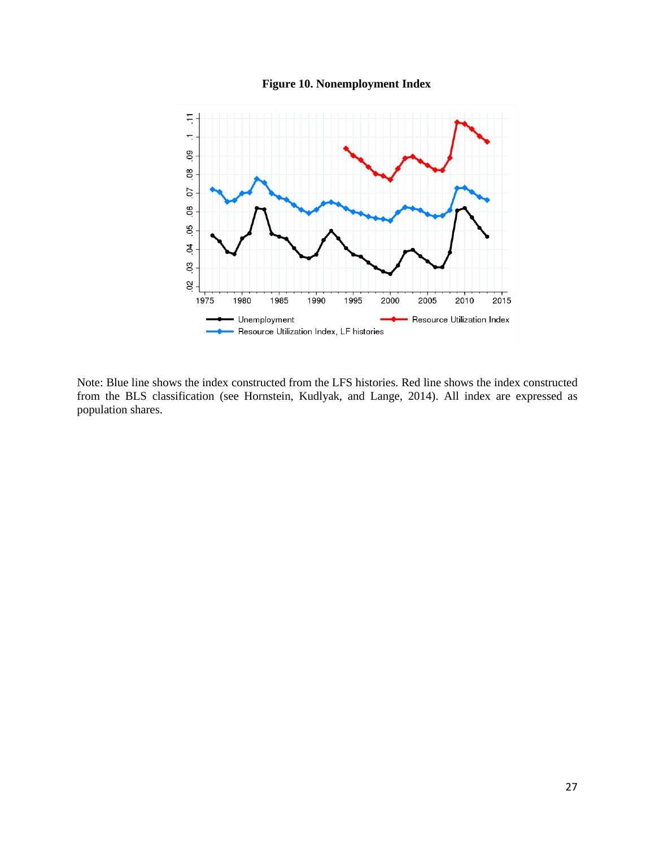

**Figure 10. Nonemployment Index**

Note: Blue line shows the index constructed from the LFS histories. Red line shows the index constructed from the BLS classification (see Hornstein, Kudlyak, and Lange, 2014). All index are expressed as population shares.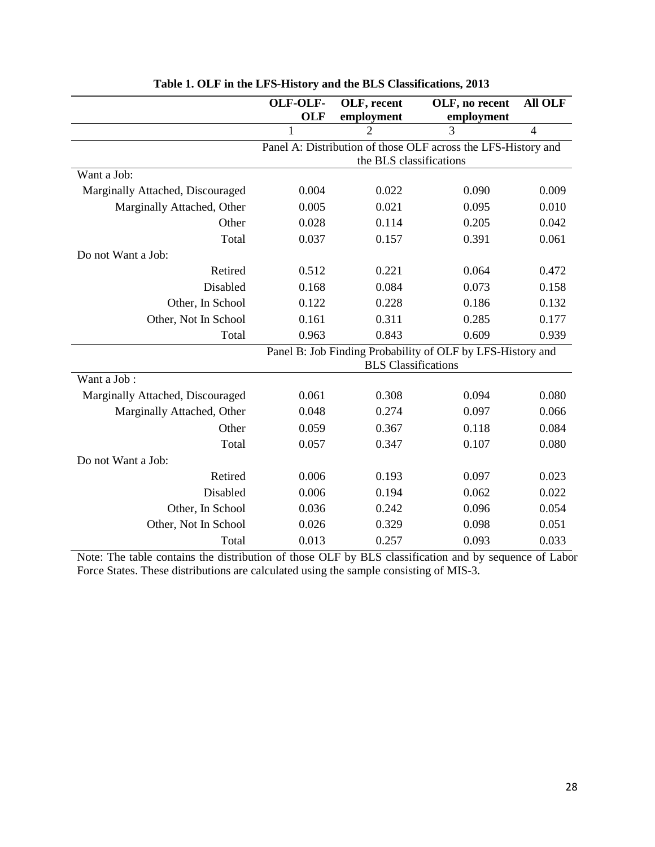|                                  | OLF-OLF-<br>OLF, recent                                       |                              | OLF, no recent  | <b>All OLF</b> |  |  |
|----------------------------------|---------------------------------------------------------------|------------------------------|-----------------|----------------|--|--|
|                                  | <b>OLF</b>                                                    | employment<br>$\overline{2}$ | employment<br>3 |                |  |  |
|                                  | 1                                                             | $\overline{4}$               |                 |                |  |  |
|                                  | Panel A: Distribution of those OLF across the LFS-History and |                              |                 |                |  |  |
|                                  | the BLS classifications                                       |                              |                 |                |  |  |
| Want a Job:                      |                                                               |                              |                 |                |  |  |
| Marginally Attached, Discouraged | 0.004                                                         | 0.022                        | 0.090           | 0.009          |  |  |
| Marginally Attached, Other       | 0.005                                                         | 0.021                        | 0.095           | 0.010          |  |  |
| Other                            | 0.028                                                         | 0.114                        | 0.205           | 0.042          |  |  |
| Total                            | 0.037                                                         | 0.157                        | 0.391           | 0.061          |  |  |
| Do not Want a Job:               |                                                               |                              |                 |                |  |  |
| Retired                          | 0.512                                                         | 0.221                        | 0.064           | 0.472          |  |  |
| Disabled                         | 0.168                                                         | 0.084                        | 0.073           | 0.158          |  |  |
| Other, In School                 | 0.122                                                         | 0.228                        | 0.186           | 0.132          |  |  |
| Other, Not In School             | 0.161                                                         | 0.311                        | 0.285           | 0.177          |  |  |
| Total                            | 0.963                                                         | 0.843                        | 0.609           | 0.939          |  |  |
|                                  | Panel B: Job Finding Probability of OLF by LFS-History and    |                              |                 |                |  |  |
|                                  | <b>BLS</b> Classifications                                    |                              |                 |                |  |  |
| Want a Job:                      |                                                               |                              |                 |                |  |  |
| Marginally Attached, Discouraged | 0.061                                                         | 0.308                        | 0.094           | 0.080          |  |  |
| Marginally Attached, Other       | 0.048                                                         | 0.274                        | 0.097           | 0.066          |  |  |
| Other                            | 0.059                                                         | 0.367                        | 0.118           | 0.084          |  |  |
| Total                            | 0.057                                                         | 0.347                        | 0.107           | 0.080          |  |  |
| Do not Want a Job:               |                                                               |                              |                 |                |  |  |
| Retired                          | 0.006                                                         | 0.193                        | 0.097           | 0.023          |  |  |
| Disabled                         | 0.006                                                         | 0.194                        | 0.062           | 0.022          |  |  |
| Other, In School                 | 0.036                                                         | 0.242                        | 0.096           | 0.054          |  |  |
| Other, Not In School             | 0.026                                                         | 0.329                        | 0.098           | 0.051          |  |  |
| Total                            | 0.013                                                         | 0.257                        | 0.093           | 0.033          |  |  |

|  |  |  |  |  | Table 1. OLF in the LFS-History and the BLS Classifications, 2013 |  |
|--|--|--|--|--|-------------------------------------------------------------------|--|
|--|--|--|--|--|-------------------------------------------------------------------|--|

Note: The table contains the distribution of those OLF by BLS classification and by sequence of Labor Force States. These distributions are calculated using the sample consisting of MIS-3.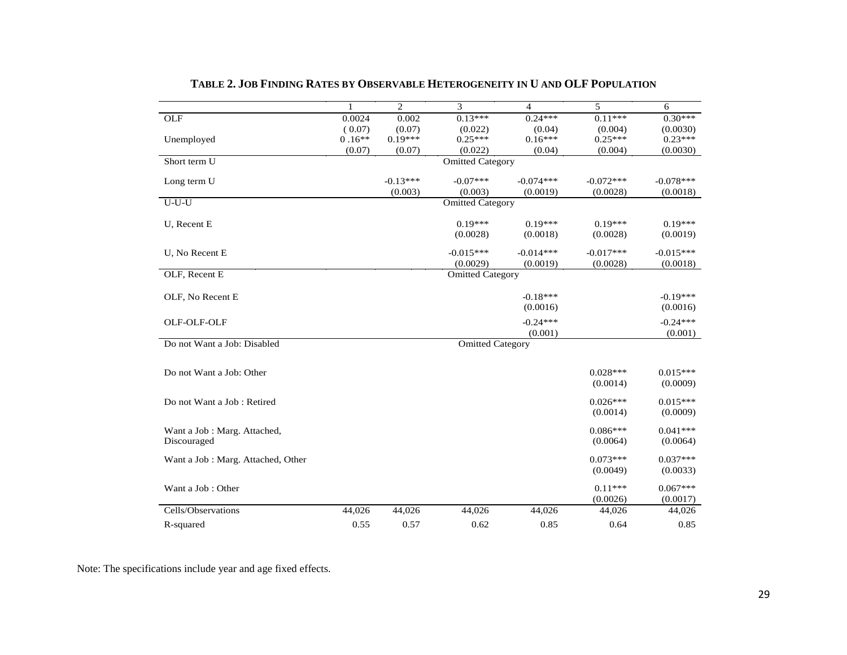|                                                  | $\mathbf{1}$ | $\overline{c}$ | 3                       | $\overline{4}$ | 5           | 6           |  |  |  |
|--------------------------------------------------|--------------|----------------|-------------------------|----------------|-------------|-------------|--|--|--|
| OLF                                              | 0.0024       | 0.002          | $0.13***$               | $0.24***$      | $0.11***$   | $0.30***$   |  |  |  |
|                                                  | (0.07)       | (0.07)         | (0.022)                 | (0.04)         | (0.004)     | (0.0030)    |  |  |  |
| Unemployed                                       | $0.16**$     | $0.19***$      | $0.25***$               | $0.16***$      | $0.25***$   | $0.23***$   |  |  |  |
|                                                  | (0.07)       | (0.07)         | (0.022)                 | (0.04)         | (0.004)     | (0.0030)    |  |  |  |
| Short term U                                     |              |                | <b>Omitted Category</b> |                |             |             |  |  |  |
| Long term U                                      |              | $-0.13***$     | $-0.07***$              | $-0.074***$    | $-0.072***$ | $-0.078***$ |  |  |  |
|                                                  |              | (0.003)        | (0.003)                 | (0.0019)       | (0.0028)    | (0.0018)    |  |  |  |
| $\mathbf{U}\text{-}\mathbf{U}\text{-}\mathbf{U}$ |              |                | <b>Omitted Category</b> |                |             |             |  |  |  |
| U, Recent E                                      |              |                | $0.19***$               | $0.19***$      | $0.19***$   | $0.19***$   |  |  |  |
|                                                  |              |                | (0.0028)                | (0.0018)       | (0.0028)    | (0.0019)    |  |  |  |
| U, No Recent E                                   |              |                | $-0.015***$             | $-0.014***$    | $-0.017***$ | $-0.015***$ |  |  |  |
|                                                  |              |                | (0.0029)                | (0.0019)       | (0.0028)    | (0.0018)    |  |  |  |
| OLF, Recent E                                    |              |                | <b>Omitted Category</b> |                |             |             |  |  |  |
|                                                  |              |                |                         |                |             |             |  |  |  |
| OLF, No Recent E                                 |              |                |                         | $-0.18***$     |             | $-0.19***$  |  |  |  |
|                                                  |              |                |                         | (0.0016)       |             | (0.0016)    |  |  |  |
| OLF-OLF-OLF                                      |              |                |                         | $-0.24***$     |             | $-0.24***$  |  |  |  |
|                                                  |              |                |                         | (0.001)        |             | (0.001)     |  |  |  |
| Do not Want a Job: Disabled                      |              |                | <b>Omitted Category</b> |                |             |             |  |  |  |
|                                                  |              |                |                         |                |             |             |  |  |  |
|                                                  |              |                |                         |                |             |             |  |  |  |
| Do not Want a Job: Other                         |              |                |                         |                | $0.028***$  | $0.015***$  |  |  |  |
|                                                  |              |                |                         |                | (0.0014)    | (0.0009)    |  |  |  |
| Do not Want a Job: Retired                       |              |                |                         |                | $0.026***$  | $0.015***$  |  |  |  |
|                                                  |              |                |                         |                | (0.0014)    | (0.0009)    |  |  |  |
|                                                  |              |                |                         |                |             |             |  |  |  |
| Want a Job : Marg. Attached,                     |              |                |                         |                | $0.086***$  | $0.041***$  |  |  |  |
| Discouraged                                      |              |                |                         |                | (0.0064)    | (0.0064)    |  |  |  |
| Want a Job : Marg. Attached, Other               |              |                |                         |                | $0.073***$  | $0.037***$  |  |  |  |
|                                                  |              |                |                         |                | (0.0049)    | (0.0033)    |  |  |  |
| Want a Job: Other                                |              |                |                         |                | $0.11***$   | $0.067***$  |  |  |  |
|                                                  |              |                |                         |                | (0.0026)    | (0.0017)    |  |  |  |
| Cells/Observations                               | 44,026       | 44,026         | 44,026                  | 44,026         | 44,026      | 44,026      |  |  |  |
| R-squared                                        | 0.55         | 0.57           | 0.62                    | 0.85           | 0.64        | 0.85        |  |  |  |

### **TABLE 2. JOB FINDING RATES BY OBSERVABLE HETEROGENEITY IN U AND OLF POPULATION**

Note: The specifications include year and age fixed effects.